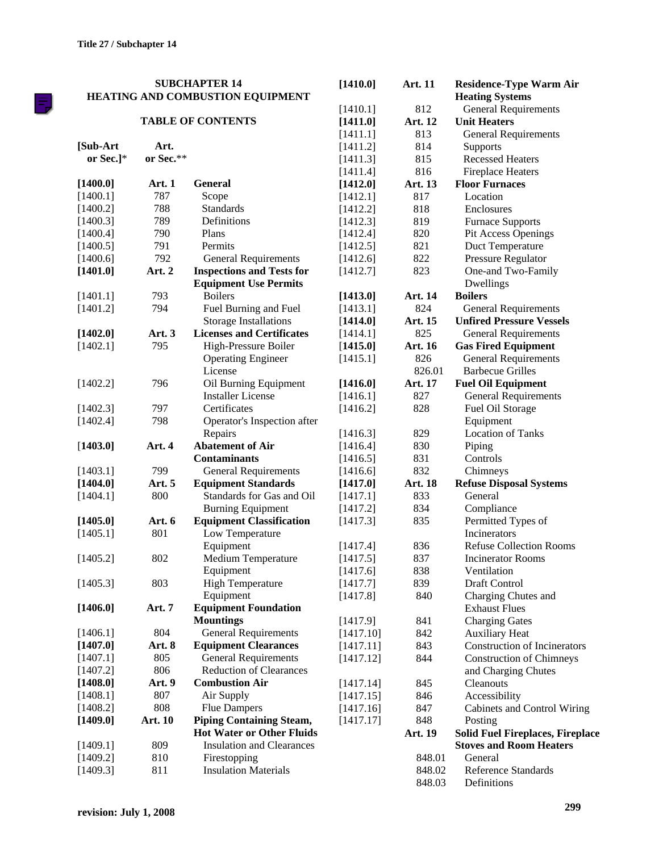틗

| <b>SUBCHAPTER 14</b> |               |                                         | [1410.0]  | Art. 11        | <b>Residence-Type Warm Air</b>          |  |
|----------------------|---------------|-----------------------------------------|-----------|----------------|-----------------------------------------|--|
|                      |               | <b>HEATING AND COMBUSTION EQUIPMENT</b> |           |                | <b>Heating Systems</b>                  |  |
|                      |               |                                         | [1410.1]  | 812            | <b>General Requirements</b>             |  |
|                      |               | <b>TABLE OF CONTENTS</b>                | [1411.0]  | Art. 12        | <b>Unit Heaters</b>                     |  |
|                      |               |                                         | [1411.1]  | 813            | <b>General Requirements</b>             |  |
| [Sub-Art             | Art.          |                                         | [1411.2]  | 814            | Supports                                |  |
| or Sec.] $*$         | or Sec.**     |                                         | [1411.3]  | 815            | <b>Recessed Heaters</b>                 |  |
|                      |               |                                         | [1411.4]  | 816            | <b>Fireplace Heaters</b>                |  |
| [1400.0]             | <b>Art. 1</b> | <b>General</b>                          | [1412.0]  | Art. 13        | <b>Floor Furnaces</b>                   |  |
| [1400.1]             | 787           | Scope                                   | [1412.1]  | 817            | Location                                |  |
| [1400.2]             | 788           | <b>Standards</b>                        | [1412.2]  | 818            | Enclosures                              |  |
| [1400.3]             | 789           | Definitions                             | [1412.3]  | 819            | <b>Furnace Supports</b>                 |  |
| [1400.4]             | 790           | Plans                                   | [1412.4]  | 820            | Pit Access Openings                     |  |
| [1400.5]             | 791           | Permits                                 | [1412.5]  | 821            | Duct Temperature                        |  |
| [1400.6]             | 792           | <b>General Requirements</b>             | [1412.6]  | 822            | Pressure Regulator                      |  |
| [1401.0]             | Art. 2        | <b>Inspections and Tests for</b>        | [1412.7]  | 823            | One-and Two-Family                      |  |
|                      |               | <b>Equipment Use Permits</b>            |           |                | Dwellings                               |  |
| [1401.1]             | 793           | <b>Boilers</b>                          | [1413.0]  | Art. 14        | <b>Boilers</b>                          |  |
| [1401.2]             | 794           | Fuel Burning and Fuel                   | [1413.1]  | 824            | <b>General Requirements</b>             |  |
|                      |               | <b>Storage Installations</b>            | [1414.0]  | Art. 15        | <b>Unfired Pressure Vessels</b>         |  |
| [1402.0]             | Art. 3        | <b>Licenses and Certificates</b>        | [1414.1]  | 825            | <b>General Requirements</b>             |  |
| [1402.1]             | 795           | High-Pressure Boiler                    | [1415.0]  | <b>Art. 16</b> | <b>Gas Fired Equipment</b>              |  |
|                      |               | <b>Operating Engineer</b>               | [1415.1]  | 826            | <b>General Requirements</b>             |  |
|                      |               | License                                 |           | 826.01         | <b>Barbecue Grilles</b>                 |  |
| [1402.2]             | 796           | Oil Burning Equipment                   | [1416.0]  | Art. 17        | <b>Fuel Oil Equipment</b>               |  |
|                      |               | <b>Installer License</b>                | [1416.1]  | 827            | <b>General Requirements</b>             |  |
| [1402.3]             | 797           | Certificates                            | [1416.2]  | 828            | Fuel Oil Storage                        |  |
| [1402.4]             | 798           | Operator's Inspection after             |           |                | Equipment                               |  |
|                      |               | Repairs                                 | [1416.3]  | 829            | <b>Location of Tanks</b>                |  |
| [1403.0]             | Art. 4        | <b>Abatement of Air</b>                 | [1416.4]  | 830            | Piping                                  |  |
|                      |               | <b>Contaminants</b>                     | [1416.5]  | 831            | Controls                                |  |
| [1403.1]             | 799           | <b>General Requirements</b>             | [1416.6]  | 832            | Chimneys                                |  |
| [1404.0]             | Art. 5        | <b>Equipment Standards</b>              | [1417.0]  | Art. 18        | <b>Refuse Disposal Systems</b>          |  |
| [1404.1]             | 800           | Standards for Gas and Oil               | [1417.1]  | 833            | General                                 |  |
|                      |               | <b>Burning Equipment</b>                | [1417.2]  | 834            | Compliance                              |  |
| [1405.0]             | Art. 6        | <b>Equipment Classification</b>         | [1417.3]  | 835            | Permitted Types of                      |  |
| [1405.1]             | 801           | Low Temperature                         |           |                | Incinerators                            |  |
|                      |               | Equipment                               | [1417.4]  | 836            | <b>Refuse Collection Rooms</b>          |  |
| [1405.2]             | 802           | Medium Temperature                      | [1417.5]  | 837            | <b>Incinerator Rooms</b>                |  |
|                      |               | Equipment                               | [1417.6]  | 838            | Ventilation                             |  |
| [1405.3]             | 803           | <b>High Temperature</b>                 | [1417.7]  | 839            | Draft Control                           |  |
|                      |               | Equipment                               | [1417.8]  | 840            | Charging Chutes and                     |  |
| [1406.0]             | Art. 7        | <b>Equipment Foundation</b>             |           |                | <b>Exhaust Flues</b>                    |  |
|                      |               | <b>Mountings</b>                        | [1417.9]  | 841            | <b>Charging Gates</b>                   |  |
| [1406.1]             | 804           | <b>General Requirements</b>             | [1417.10] | 842            | <b>Auxiliary Heat</b>                   |  |
| [1407.0]             | Art. 8        | <b>Equipment Clearances</b>             | [1417.11] | 843            | Construction of Incinerators            |  |
| [1407.1]             | 805           | <b>General Requirements</b>             | [1417.12] | 844            | <b>Construction of Chimneys</b>         |  |
| [1407.2]             | 806           | <b>Reduction of Clearances</b>          |           |                | and Charging Chutes                     |  |
| [1408.0]             | <b>Art.</b> 9 | <b>Combustion Air</b>                   | [1417.14] | 845            | Cleanouts                               |  |
| [1408.1]             | 807           | Air Supply                              | [1417.15] | 846            | Accessibility                           |  |
| [1408.2]             | 808           | <b>Flue Dampers</b>                     | [1417.16] | 847            | Cabinets and Control Wiring             |  |
| [1409.0]             | Art. 10       | <b>Piping Containing Steam,</b>         | [1417.17] | 848            | Posting                                 |  |
|                      |               | <b>Hot Water or Other Fluids</b>        |           | Art. 19        | <b>Solid Fuel Fireplaces, Fireplace</b> |  |
| [1409.1]             | 809           | <b>Insulation and Clearances</b>        |           |                | <b>Stoves and Room Heaters</b>          |  |
| [1409.2]             | 810           | Firestopping                            |           | 848.01         | General                                 |  |
| [1409.3]             | 811           | <b>Insulation Materials</b>             |           | 848.02         | <b>Reference Standards</b>              |  |
|                      |               |                                         |           | 848.03         | Definitions                             |  |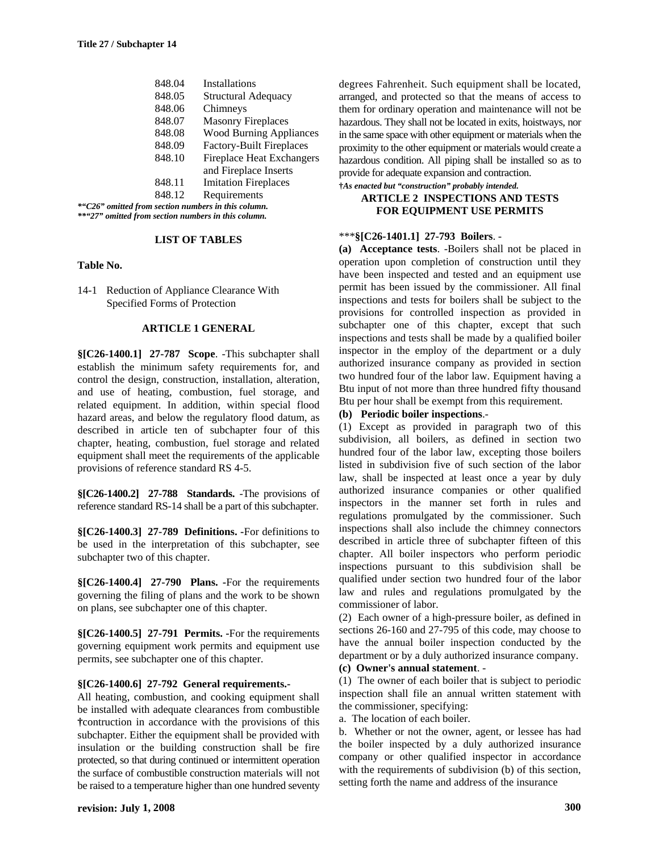| 848.04                                | <b>Installations</b>             |  |  |  |  |
|---------------------------------------|----------------------------------|--|--|--|--|
| 848.05                                | <b>Structural Adequacy</b>       |  |  |  |  |
| 848.06                                | Chimneys                         |  |  |  |  |
| 848.07                                | <b>Masonry Fireplaces</b>        |  |  |  |  |
| 848.08                                | <b>Wood Burning Appliances</b>   |  |  |  |  |
| 848.09                                | <b>Factory-Built Fireplaces</b>  |  |  |  |  |
| 848.10                                | <b>Fireplace Heat Exchangers</b> |  |  |  |  |
|                                       | and Fireplace Inserts            |  |  |  |  |
| 848.11                                | <b>Imitation Fireplaces</b>      |  |  |  |  |
| 848.12                                | Requirements                     |  |  |  |  |
| I from cootion numbers in this column |                                  |  |  |  |  |

*\*"C26" omitted from section numbers in this column. \*\*"27" omitted from section numbers in this column.*

### **LIST OF TABLES**

#### **Table No.**

14-1 Reduction of Appliance Clearance With Specified Forms of Protection

### **ARTICLE 1 GENERAL**

**§[C26-1400.1] 27-787 Scope**. -This subchapter shall establish the minimum safety requirements for, and control the design, construction, installation, alteration, and use of heating, combustion, fuel storage, and related equipment. In addition, within special flood hazard areas, and below the regulatory flood datum, as described in article ten of subchapter four of this chapter, heating, combustion, fuel storage and related equipment shall meet the requirements of the applicable provisions of reference standard RS 4-5.

**§[C26-1400.2] 27-788 Standards.** -The provisions of reference standard RS-14 shall be a part of this subchapter.

**§[C26-1400.3] 27-789 Definitions. -**For definitions to be used in the interpretation of this subchapter, see subchapter two of this chapter.

**§[C26-1400.4] 27-790 Plans. -**For the requirements governing the filing of plans and the work to be shown on plans, see subchapter one of this chapter.

**§[C26-1400.5] 27-791 Permits. -**For the requirements governing equipment work permits and equipment use permits, see subchapter one of this chapter.

#### **§[C26-1400.6] 27-792 General requirements.-**

All heating, combustion, and cooking equipment shall be installed with adequate clearances from combustible **†**contruction in accordance with the provisions of this subchapter. Either the equipment shall be provided with insulation or the building construction shall be fire protected, so that during continued or intermittent operation the surface of combustible construction materials will not be raised to a temperature higher than one hundred seventy

degrees Fahrenheit. Such equipment shall be located, arranged, and protected so that the means of access to them for ordinary operation and maintenance will not be hazardous. They shall not be located in exits, hoistways, nor in the same space with other equipment or materials when the proximity to the other equipment or materials would create a hazardous condition. All piping shall be installed so as to provide for adequate expansion and contraction.

**†***As enacted but "construction" probably intended.* **ARTICLE 2 INSPECTIONS AND TESTS**

# **FOR EQUIPMENT USE PERMITS**

### \*\*\***§[C26-1401.1] 27-793 Boilers**. -

**(a) Acceptance tests**. -Boilers shall not be placed in operation upon completion of construction until they have been inspected and tested and an equipment use permit has been issued by the commissioner. All final inspections and tests for boilers shall be subject to the provisions for controlled inspection as provided in subchapter one of this chapter, except that such inspections and tests shall be made by a qualified boiler inspector in the employ of the department or a duly authorized insurance company as provided in section two hundred four of the labor law. Equipment having a Btu input of not more than three hundred fifty thousand Btu per hour shall be exempt from this requirement.

# **(b) Periodic boiler inspections**.-

(1) Except as provided in paragraph two of this subdivision, all boilers, as defined in section two hundred four of the labor law, excepting those boilers listed in subdivision five of such section of the labor law, shall be inspected at least once a year by duly authorized insurance companies or other qualified inspectors in the manner set forth in rules and regulations promulgated by the commissioner. Such inspections shall also include the chimney connectors described in article three of subchapter fifteen of this chapter. All boiler inspectors who perform periodic inspections pursuant to this subdivision shall be qualified under section two hundred four of the labor law and rules and regulations promulgated by the commissioner of labor.

(2) Each owner of a high-pressure boiler, as defined in sections 26-160 and 27-795 of this code, may choose to have the annual boiler inspection conducted by the department or by a duly authorized insurance company.

**(c) Owner's annual statement**. -

(1) The owner of each boiler that is subject to periodic inspection shall file an annual written statement with the commissioner, specifying:

a. The location of each boiler.

b. Whether or not the owner, agent, or lessee has had the boiler inspected by a duly authorized insurance company or other qualified inspector in accordance with the requirements of subdivision (b) of this section, setting forth the name and address of the insurance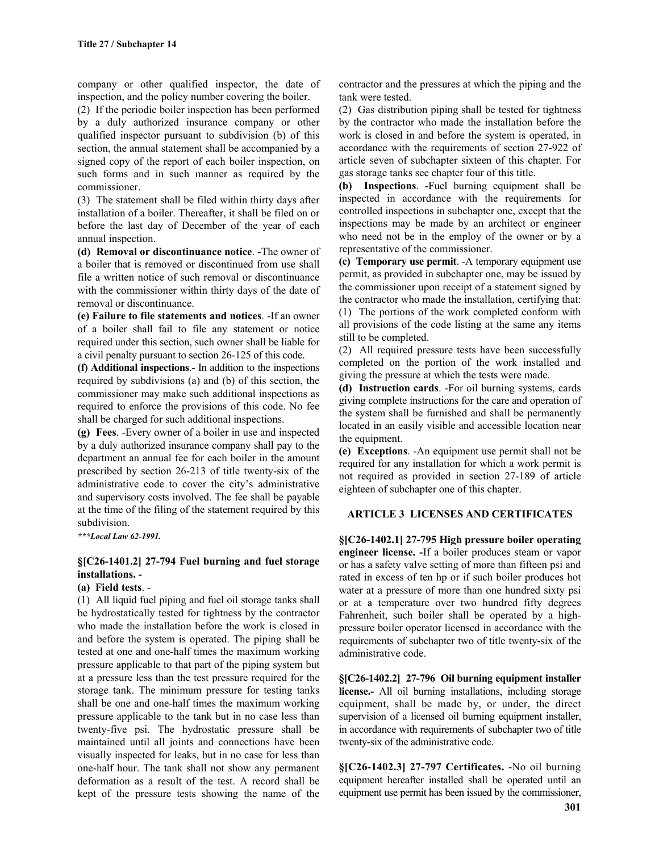company or other qualified inspector, the date of inspection, and the policy number covering the boiler.

(2) If the periodic boiler inspection has been performed by a duly authorized insurance company or other qualified inspector pursuant to subdivision (b) of this section, the annual statement shall be accompanied by a signed copy of the report of each boiler inspection, on such forms and in such manner as required by the commissioner.

(3) The statement shall be filed within thirty days after installation of a boiler. Thereafter, it shall be filed on or before the last day of December of the year of each annual inspection.

**(d) Removal or discontinuance notice**. -The owner of a boiler that is removed or discontinued from use shall file a written notice of such removal or discontinuance with the commissioner within thirty days of the date of removal or discontinuance.

**(e) Failure to file statements and notices**. -If an owner of a boiler shall fail to file any statement or notice required under this section, such owner shall be liable for a civil penalty pursuant to section 26-125 of this code.

**(f) Additional inspections**.- In addition to the inspections required by subdivisions (a) and (b) of this section, the commissioner may make such additional inspections as required to enforce the provisions of this code. No fee shall be charged for such additional inspections.

**(g) Fees**. -Every owner of a boiler in use and inspected by a duly authorized insurance company shall pay to the department an annual fee for each boiler in the amount prescribed by section 26-213 of title twenty-six of the administrative code to cover the city's administrative and supervisory costs involved. The fee shall be payable at the time of the filing of the statement required by this subdivision.

*\*\*\*Local Law 62-1991.*

# **§[C26-1401.2] 27-794 Fuel burning and fuel storage installations. -**

# **(a) Field tests**. -

(1) All liquid fuel piping and fuel oil storage tanks shall be hydrostatically tested for tightness by the contractor who made the installation before the work is closed in and before the system is operated. The piping shall be tested at one and one-half times the maximum working pressure applicable to that part of the piping system but at a pressure less than the test pressure required for the storage tank. The minimum pressure for testing tanks shall be one and one-half times the maximum working pressure applicable to the tank but in no case less than twenty-five psi. The hydrostatic pressure shall be maintained until all joints and connections have been visually inspected for leaks, but in no case for less than one-half hour. The tank shall not show any permanent deformation as a result of the test. A record shall be kept of the pressure tests showing the name of the

contractor and the pressures at which the piping and the tank were tested.

(2) Gas distribution piping shall be tested for tightness by the contractor who made the installation before the work is closed in and before the system is operated, in accordance with the requirements of section 27-922 of article seven of subchapter sixteen of this chapter. For gas storage tanks see chapter four of this title.

**(b) Inspections**. -Fuel burning equipment shall be inspected in accordance with the requirements for controlled inspections in subchapter one, except that the inspections may be made by an architect or engineer who need not be in the employ of the owner or by a representative of the commissioner.

**(c) Temporary use permit**. -A temporary equipment use permit, as provided in subchapter one, may be issued by the commissioner upon receipt of a statement signed by the contractor who made the installation, certifying that: (1) The portions of the work completed conform with all provisions of the code listing at the same any items still to be completed.

(2) All required pressure tests have been successfully completed on the portion of the work installed and giving the pressure at which the tests were made.

**(d) Instruction cards**. -For oil burning systems, cards giving complete instructions for the care and operation of the system shall be furnished and shall be permanently located in an easily visible and accessible location near the equipment.

**(e) Exceptions**. -An equipment use permit shall not be required for any installation for which a work permit is not required as provided in section 27-189 of article eighteen of subchapter one of this chapter.

# **ARTICLE 3 LICENSES AND CERTIFICATES**

**§[C26-1402.1] 27-795 High pressure boiler operating engineer license. -**If a boiler produces steam or vapor or has a safety valve setting of more than fifteen psi and rated in excess of ten hp or if such boiler produces hot water at a pressure of more than one hundred sixty psi or at a temperature over two hundred fifty degrees Fahrenheit, such boiler shall be operated by a highpressure boiler operator licensed in accordance with the requirements of subchapter two of title twenty-six of the administrative code.

**§[C26-1402.2] 27-796 Oil burning equipment installer license.-** All oil burning installations, including storage equipment, shall be made by, or under, the direct supervision of a licensed oil burning equipment installer, in accordance with requirements of subchapter two of title twenty-six of the administrative code.

**§[C26-1402.3] 27-797 Certificates.** -No oil burning equipment hereafter installed shall be operated until an equipment use permit has been issued by the commissioner,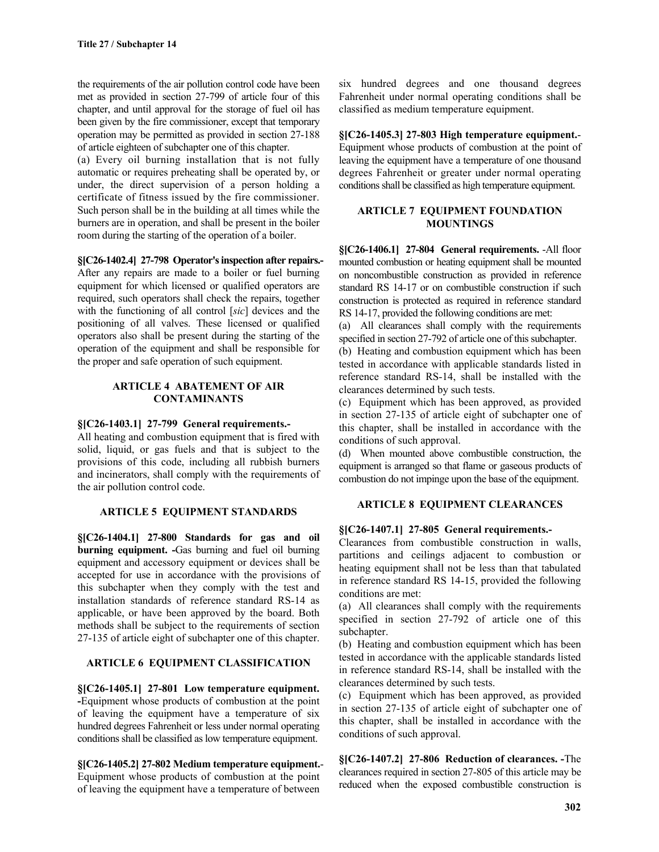the requirements of the air pollution control code have been met as provided in section 27-799 of article four of this chapter, and until approval for the storage of fuel oil has been given by the fire commissioner, except that temporary operation may be permitted as provided in section 27-188 of article eighteen of subchapter one of this chapter.

(a) Every oil burning installation that is not fully automatic or requires preheating shall be operated by, or under, the direct supervision of a person holding a certificate of fitness issued by the fire commissioner. Such person shall be in the building at all times while the burners are in operation, and shall be present in the boiler room during the starting of the operation of a boiler.

### **§[C26-1402.4] 27-798 Operator's inspection after repairs.-**

After any repairs are made to a boiler or fuel burning equipment for which licensed or qualified operators are required, such operators shall check the repairs, together with the functioning of all control [*sic*] devices and the positioning of all valves. These licensed or qualified operators also shall be present during the starting of the operation of the equipment and shall be responsible for the proper and safe operation of such equipment.

### **ARTICLE 4 ABATEMENT OF AIR CONTAMINANTS**

# **§[C26-1403.1] 27-799 General requirements.-**

All heating and combustion equipment that is fired with solid, liquid, or gas fuels and that is subject to the provisions of this code, including all rubbish burners and incinerators, shall comply with the requirements of the air pollution control code.

# **ARTICLE 5 EQUIPMENT STANDARDS**

**§[C26-1404.1] 27-800 Standards for gas and oil burning equipment. -**Gas burning and fuel oil burning equipment and accessory equipment or devices shall be accepted for use in accordance with the provisions of this subchapter when they comply with the test and installation standards of reference standard RS-14 as applicable, or have been approved by the board. Both methods shall be subject to the requirements of section 27-135 of article eight of subchapter one of this chapter.

# **ARTICLE 6 EQUIPMENT CLASSIFICATION**

**§[C26-1405.1] 27-801 Low temperature equipment. -**Equipment whose products of combustion at the point of leaving the equipment have a temperature of six hundred degrees Fahrenheit or less under normal operating conditions shall be classified as low temperature equipment.

**§[C26-1405.2] 27-802 Medium temperature equipment.**- Equipment whose products of combustion at the point of leaving the equipment have a temperature of between

six hundred degrees and one thousand degrees Fahrenheit under normal operating conditions shall be classified as medium temperature equipment.

**§[C26-1405.3] 27-803 High temperature equipment.**- Equipment whose products of combustion at the point of leaving the equipment have a temperature of one thousand degrees Fahrenheit or greater under normal operating conditions shall be classified as high temperature equipment.

# **ARTICLE 7 EQUIPMENT FOUNDATION MOUNTINGS**

**§[C26-1406.1] 27-804 General requirements.** -All floor mounted combustion or heating equipment shall be mounted on noncombustible construction as provided in reference standard RS 14-17 or on combustible construction if such construction is protected as required in reference standard RS 14-17, provided the following conditions are met:

(a) All clearances shall comply with the requirements specified in section 27-792 of article one of this subchapter.

(b) Heating and combustion equipment which has been tested in accordance with applicable standards listed in reference standard RS-14, shall be installed with the clearances determined by such tests.

(c) Equipment which has been approved, as provided in section 27-135 of article eight of subchapter one of this chapter, shall be installed in accordance with the conditions of such approval.

(d) When mounted above combustible construction, the equipment is arranged so that flame or gaseous products of combustion do not impinge upon the base of the equipment.

# **ARTICLE 8 EQUIPMENT CLEARANCES**

# **§[C26-1407.1] 27-805 General requirements.-**

Clearances from combustible construction in walls, partitions and ceilings adjacent to combustion or heating equipment shall not be less than that tabulated in reference standard RS 14-15, provided the following conditions are met:

(a) All clearances shall comply with the requirements specified in section 27-792 of article one of this subchapter.

(b) Heating and combustion equipment which has been tested in accordance with the applicable standards listed in reference standard RS-14, shall be installed with the clearances determined by such tests.

(c) Equipment which has been approved, as provided in section 27-135 of article eight of subchapter one of this chapter, shall be installed in accordance with the conditions of such approval.

**§[C26-1407.2] 27-806 Reduction of clearances. -**The clearances required in section 27-805 of this article may be reduced when the exposed combustible construction is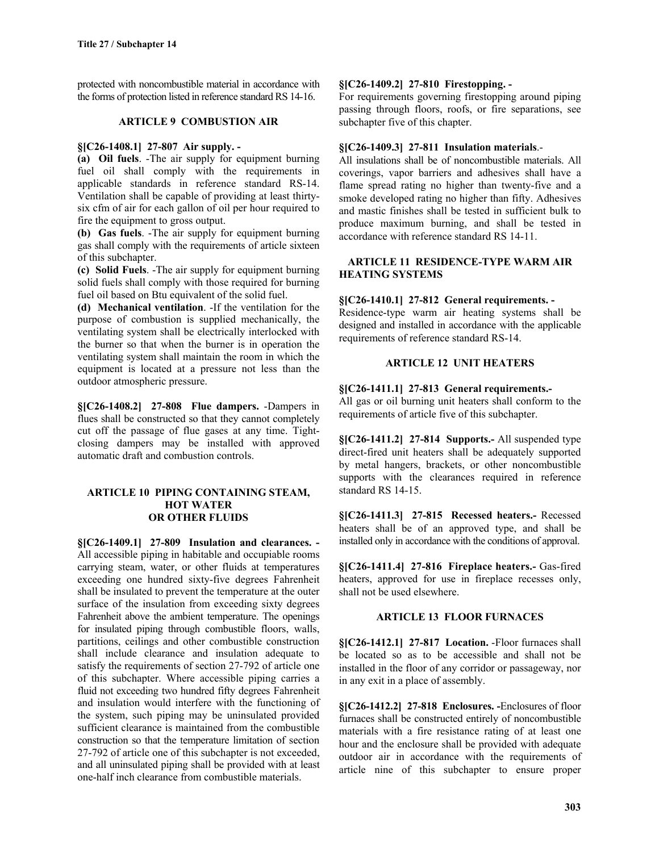protected with noncombustible material in accordance with the forms of protection listed in reference standard RS 14-16.

### **ARTICLE 9 COMBUSTION AIR**

# **§[C26-1408.1] 27-807 Air supply. -**

**(a) Oil fuels**. -The air supply for equipment burning fuel oil shall comply with the requirements in applicable standards in reference standard RS-14. Ventilation shall be capable of providing at least thirtysix cfm of air for each gallon of oil per hour required to fire the equipment to gross output.

**(b) Gas fuels**. -The air supply for equipment burning gas shall comply with the requirements of article sixteen of this subchapter.

**(c) Solid Fuels**. -The air supply for equipment burning solid fuels shall comply with those required for burning fuel oil based on Btu equivalent of the solid fuel.

**(d) Mechanical ventilation**. -If the ventilation for the purpose of combustion is supplied mechanically, the ventilating system shall be electrically interlocked with the burner so that when the burner is in operation the ventilating system shall maintain the room in which the equipment is located at a pressure not less than the outdoor atmospheric pressure.

**§[C26-1408.2] 27-808 Flue dampers.** -Dampers in flues shall be constructed so that they cannot completely cut off the passage of flue gases at any time. Tightclosing dampers may be installed with approved automatic draft and combustion controls.

### **ARTICLE 10 PIPING CONTAINING STEAM, HOT WATER OR OTHER FLUIDS**

**§[C26-1409.1] 27-809 Insulation and clearances. -** All accessible piping in habitable and occupiable rooms carrying steam, water, or other fluids at temperatures exceeding one hundred sixty-five degrees Fahrenheit shall be insulated to prevent the temperature at the outer surface of the insulation from exceeding sixty degrees Fahrenheit above the ambient temperature. The openings for insulated piping through combustible floors, walls, partitions, ceilings and other combustible construction shall include clearance and insulation adequate to satisfy the requirements of section 27-792 of article one of this subchapter. Where accessible piping carries a fluid not exceeding two hundred fifty degrees Fahrenheit and insulation would interfere with the functioning of the system, such piping may be uninsulated provided sufficient clearance is maintained from the combustible construction so that the temperature limitation of section 27-792 of article one of this subchapter is not exceeded, and all uninsulated piping shall be provided with at least one-half inch clearance from combustible materials.

### **§[C26-1409.2] 27-810 Firestopping. -**

For requirements governing firestopping around piping passing through floors, roofs, or fire separations, see subchapter five of this chapter.

### **§[C26-1409.3] 27-811 Insulation materials**.-

All insulations shall be of noncombustible materials. All coverings, vapor barriers and adhesives shall have a flame spread rating no higher than twenty-five and a smoke developed rating no higher than fifty. Adhesives and mastic finishes shall be tested in sufficient bulk to produce maximum burning, and shall be tested in accordance with reference standard RS 14-11.

# **ARTICLE 11 RESIDENCE-TYPE WARM AIR HEATING SYSTEMS**

# **§[C26-1410.1] 27-812 General requirements. -**

Residence-type warm air heating systems shall be designed and installed in accordance with the applicable requirements of reference standard RS-14.

# **ARTICLE 12 UNIT HEATERS**

### **§[C26-1411.1] 27-813 General requirements.-**

All gas or oil burning unit heaters shall conform to the requirements of article five of this subchapter.

**§[C26-1411.2] 27-814 Supports.-** All suspended type direct-fired unit heaters shall be adequately supported by metal hangers, brackets, or other noncombustible supports with the clearances required in reference standard RS 14-15.

**§[C26-1411.3] 27-815 Recessed heaters.-** Recessed heaters shall be of an approved type, and shall be installed only in accordance with the conditions of approval.

**§[C26-1411.4] 27-816 Fireplace heaters.-** Gas-fired heaters, approved for use in fireplace recesses only, shall not be used elsewhere.

#### **ARTICLE 13 FLOOR FURNACES**

**§[C26-1412.1] 27-817 Location.** -Floor furnaces shall be located so as to be accessible and shall not be installed in the floor of any corridor or passageway, nor in any exit in a place of assembly.

**§[C26-1412.2] 27-818 Enclosures. -**Enclosures of floor furnaces shall be constructed entirely of noncombustible materials with a fire resistance rating of at least one hour and the enclosure shall be provided with adequate outdoor air in accordance with the requirements of article nine of this subchapter to ensure proper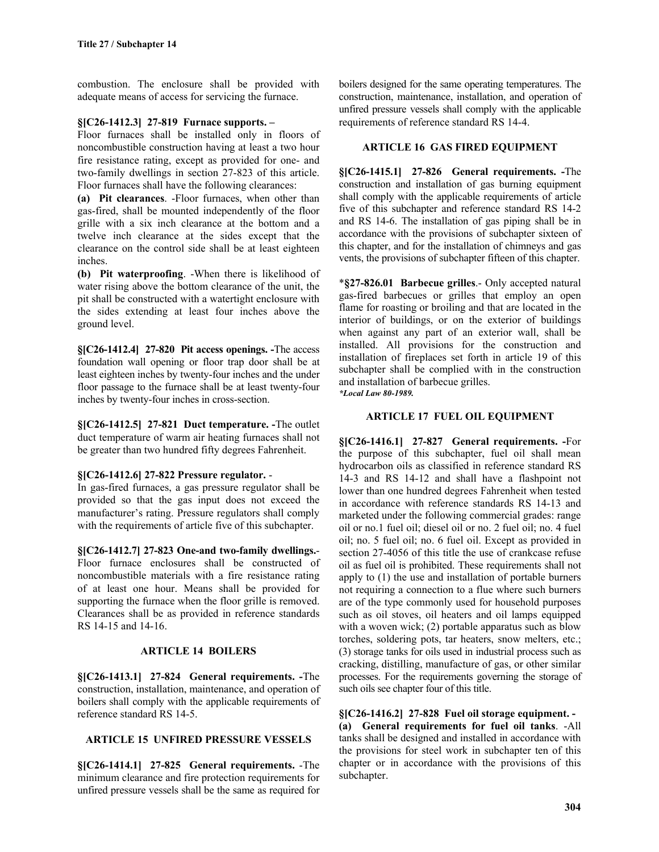combustion. The enclosure shall be provided with adequate means of access for servicing the furnace.

### **§[C26-1412.3] 27-819 Furnace supports. –**

Floor furnaces shall be installed only in floors of noncombustible construction having at least a two hour fire resistance rating, except as provided for one- and two-family dwellings in section 27-823 of this article. Floor furnaces shall have the following clearances:

**(a) Pit clearances**. -Floor furnaces, when other than gas-fired, shall be mounted independently of the floor grille with a six inch clearance at the bottom and a twelve inch clearance at the sides except that the clearance on the control side shall be at least eighteen inches.

**(b) Pit waterproofing**. -When there is likelihood of water rising above the bottom clearance of the unit, the pit shall be constructed with a watertight enclosure with the sides extending at least four inches above the ground level.

**§[C26-1412.4] 27-820 Pit access openings. -**The access foundation wall opening or floor trap door shall be at least eighteen inches by twenty-four inches and the under floor passage to the furnace shall be at least twenty-four inches by twenty-four inches in cross-section.

**§[C26-1412.5] 27-821 Duct temperature. -**The outlet duct temperature of warm air heating furnaces shall not be greater than two hundred fifty degrees Fahrenheit.

# **§[C26-1412.6] 27-822 Pressure regulator.** -

In gas-fired furnaces, a gas pressure regulator shall be provided so that the gas input does not exceed the manufacturer's rating. Pressure regulators shall comply with the requirements of article five of this subchapter.

**§[C26-1412.7] 27-823 One-and two-family dwellings.**- Floor furnace enclosures shall be constructed of noncombustible materials with a fire resistance rating of at least one hour. Means shall be provided for supporting the furnace when the floor grille is removed. Clearances shall be as provided in reference standards RS 14-15 and 14-16.

# **ARTICLE 14 BOILERS**

**§[C26-1413.1] 27-824 General requirements. -**The construction, installation, maintenance, and operation of boilers shall comply with the applicable requirements of reference standard RS 14-5.

# **ARTICLE 15 UNFIRED PRESSURE VESSELS**

**§[C26-1414.1] 27-825 General requirements.** -The minimum clearance and fire protection requirements for unfired pressure vessels shall be the same as required for boilers designed for the same operating temperatures. The construction, maintenance, installation, and operation of unfired pressure vessels shall comply with the applicable requirements of reference standard RS 14-4.

### **ARTICLE 16 GAS FIRED EQUIPMENT**

**§[C26-1415.1] 27-826 General requirements. -**The construction and installation of gas burning equipment shall comply with the applicable requirements of article five of this subchapter and reference standard RS 14-2 and RS 14-6. The installation of gas piping shall be in accordance with the provisions of subchapter sixteen of this chapter, and for the installation of chimneys and gas vents, the provisions of subchapter fifteen of this chapter.

\***§27-826.01 Barbecue grilles**.- Only accepted natural gas-fired barbecues or grilles that employ an open flame for roasting or broiling and that are located in the interior of buildings, or on the exterior of buildings when against any part of an exterior wall, shall be installed. All provisions for the construction and installation of fireplaces set forth in article 19 of this subchapter shall be complied with in the construction and installation of barbecue grilles. *\*Local Law 80-1989.*

# **ARTICLE 17 FUEL OIL EQUIPMENT**

**§[C26-1416.1] 27-827 General requirements. -**For the purpose of this subchapter, fuel oil shall mean hydrocarbon oils as classified in reference standard RS 14-3 and RS 14-12 and shall have a flashpoint not lower than one hundred degrees Fahrenheit when tested in accordance with reference standards RS 14-13 and marketed under the following commercial grades: range oil or no.1 fuel oil; diesel oil or no. 2 fuel oil; no. 4 fuel oil; no. 5 fuel oil; no. 6 fuel oil. Except as provided in section 27-4056 of this title the use of crankcase refuse oil as fuel oil is prohibited. These requirements shall not apply to (1) the use and installation of portable burners not requiring a connection to a flue where such burners are of the type commonly used for household purposes such as oil stoves, oil heaters and oil lamps equipped with a woven wick; (2) portable apparatus such as blow torches, soldering pots, tar heaters, snow melters, etc.; (3) storage tanks for oils used in industrial process such as cracking, distilling, manufacture of gas, or other similar processes. For the requirements governing the storage of such oils see chapter four of this title.

**§[C26-1416.2] 27-828 Fuel oil storage equipment. - (a) General requirements for fuel oil tanks**. -All tanks shall be designed and installed in accordance with the provisions for steel work in subchapter ten of this chapter or in accordance with the provisions of this subchapter.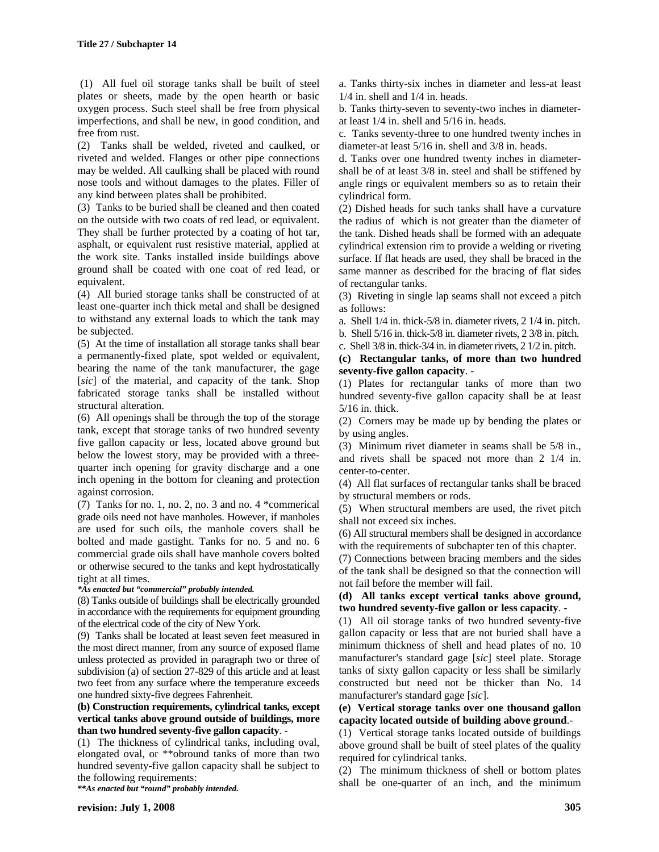(1) All fuel oil storage tanks shall be built of steel plates or sheets, made by the open hearth or basic oxygen process. Such steel shall be free from physical imperfections, and shall be new, in good condition, and free from rust.

(2) Tanks shall be welded, riveted and caulked, or riveted and welded. Flanges or other pipe connections may be welded. All caulking shall be placed with round nose tools and without damages to the plates. Filler of any kind between plates shall be prohibited.

(3) Tanks to be buried shall be cleaned and then coated on the outside with two coats of red lead, or equivalent. They shall be further protected by a coating of hot tar, asphalt, or equivalent rust resistive material, applied at the work site. Tanks installed inside buildings above ground shall be coated with one coat of red lead, or equivalent.

(4) All buried storage tanks shall be constructed of at least one-quarter inch thick metal and shall be designed to withstand any external loads to which the tank may be subjected.

(5) At the time of installation all storage tanks shall bear a permanently-fixed plate, spot welded or equivalent, bearing the name of the tank manufacturer, the gage [*sic*] of the material, and capacity of the tank. Shop fabricated storage tanks shall be installed without structural alteration.

(6) All openings shall be through the top of the storage tank, except that storage tanks of two hundred seventy five gallon capacity or less, located above ground but below the lowest story, may be provided with a threequarter inch opening for gravity discharge and a one inch opening in the bottom for cleaning and protection against corrosion.

(7) Tanks for no. 1, no. 2, no. 3 and no. 4 \*commerical grade oils need not have manholes. However, if manholes are used for such oils, the manhole covers shall be bolted and made gastight. Tanks for no. 5 and no. 6 commercial grade oils shall have manhole covers bolted or otherwise secured to the tanks and kept hydrostatically tight at all times.

#### *\*As enacted but "commercial" probably intended.*

(8) Tanks outside of buildings shall be electrically grounded in accordance with the requirements for equipment grounding of the electrical code of the city of New York.

(9) Tanks shall be located at least seven feet measured in the most direct manner, from any source of exposed flame unless protected as provided in paragraph two or three of subdivision (a) of section 27-829 of this article and at least two feet from any surface where the temperature exceeds one hundred sixty-five degrees Fahrenheit.

#### **(b) Construction requirements, cylindrical tanks, except vertical tanks above ground outside of buildings, more than two hundred seventy-five gallon capacity**. -

(1) The thickness of cylindrical tanks, including oval, elongated oval, or \*\*obround tanks of more than two hundred seventy-five gallon capacity shall be subject to the following requirements:

*\*\*As enacted but "round" probably intended.*

a. Tanks thirty-six inches in diameter and less-at least 1/4 in. shell and 1/4 in. heads.

b. Tanks thirty-seven to seventy-two inches in diameterat least 1/4 in. shell and 5/16 in. heads.

c. Tanks seventy-three to one hundred twenty inches in diameter-at least 5/16 in. shell and 3/8 in. heads.

d. Tanks over one hundred twenty inches in diametershall be of at least 3/8 in. steel and shall be stiffened by angle rings or equivalent members so as to retain their cylindrical form.

(2) Dished heads for such tanks shall have a curvature the radius of which is not greater than the diameter of the tank. Dished heads shall be formed with an adequate cylindrical extension rim to provide a welding or riveting surface. If flat heads are used, they shall be braced in the same manner as described for the bracing of flat sides of rectangular tanks.

(3) Riveting in single lap seams shall not exceed a pitch as follows:

a. Shell 1/4 in. thick-5/8 in. diameter rivets, 2 1/4 in. pitch.

b. Shell 5/16 in. thick-5/8 in. diameter rivets, 2 3/8 in. pitch. c. Shell 3/8 in. thick-3/4 in. in diameter rivets, 2 1/2 in. pitch.

# **(c) Rectangular tanks, of more than two hundred seventy-five gallon capacity**. -

(1) Plates for rectangular tanks of more than two hundred seventy-five gallon capacity shall be at least 5/16 in. thick.

(2) Corners may be made up by bending the plates or by using angles.

(3) Minimum rivet diameter in seams shall be 5/8 in., and rivets shall be spaced not more than 2 1/4 in. center-to-center.

(4) All flat surfaces of rectangular tanks shall be braced by structural members or rods.

(5) When structural members are used, the rivet pitch shall not exceed six inches.

(6) All structural members shall be designed in accordance with the requirements of subchapter ten of this chapter.

(7) Connections between bracing members and the sides of the tank shall be designed so that the connection will not fail before the member will fail.

### **(d) All tanks except vertical tanks above ground, two hundred seventy-five gallon or less capacity**. -

(1) All oil storage tanks of two hundred seventy-five gallon capacity or less that are not buried shall have a minimum thickness of shell and head plates of no. 10 manufacturer's standard gage [*sic*] steel plate. Storage tanks of sixty gallon capacity or less shall be similarly constructed but need not be thicker than No. 14 manufacturer's standard gage [*sic*].

### **(e) Vertical storage tanks over one thousand gallon capacity located outside of building above ground**.-

(1) Vertical storage tanks located outside of buildings above ground shall be built of steel plates of the quality required for cylindrical tanks.

(2) The minimum thickness of shell or bottom plates shall be one-quarter of an inch, and the minimum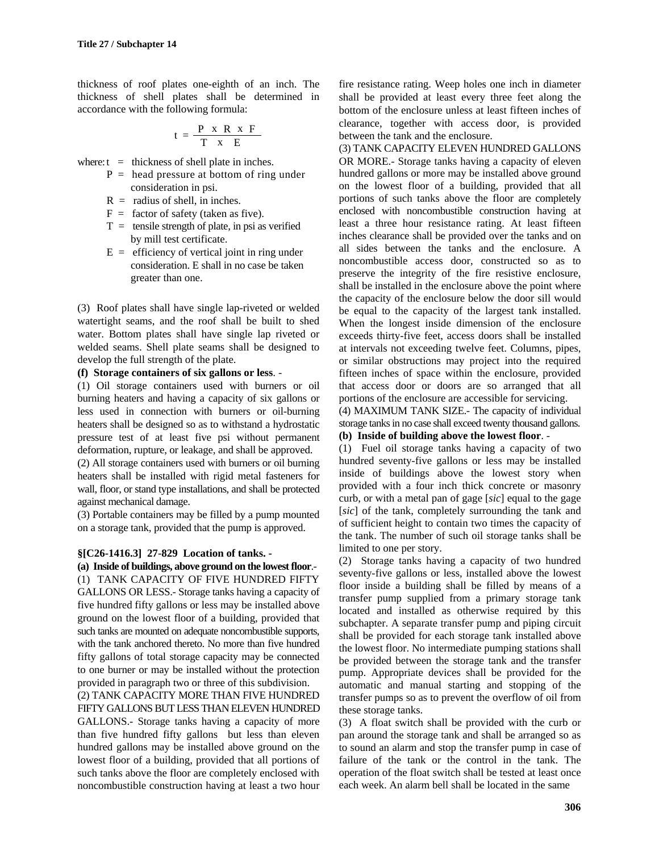thickness of roof plates one-eighth of an inch. The thickness of shell plates shall be determined in accordance with the following formula:

$$
t = \frac{P \times R \times F}{T \times E}
$$

where:  $t =$  thickness of shell plate in inches.

- $P =$  head pressure at bottom of ring under consideration in psi.
- $R =$  radius of shell, in inches.
- $F =$  factor of safety (taken as five).
- $T =$  tensile strength of plate, in psi as verified by mill test certificate.
- $E =$  efficiency of vertical joint in ring under consideration. E shall in no case be taken greater than one.

(3) Roof plates shall have single lap-riveted or welded watertight seams, and the roof shall be built to shed water. Bottom plates shall have single lap riveted or welded seams. Shell plate seams shall be designed to develop the full strength of the plate.

### **(f) Storage containers of six gallons or less**. -

(1) Oil storage containers used with burners or oil burning heaters and having a capacity of six gallons or less used in connection with burners or oil-burning heaters shall be designed so as to withstand a hydrostatic pressure test of at least five psi without permanent deformation, rupture, or leakage, and shall be approved.

(2) All storage containers used with burners or oil burning heaters shall be installed with rigid metal fasteners for wall, floor, or stand type installations, and shall be protected against mechanical damage.

(3) Portable containers may be filled by a pump mounted on a storage tank, provided that the pump is approved.

# **§[C26-1416.3] 27-829 Location of tanks. -**

**(a) Inside of buildings, above ground on the lowest floor**.- (1) TANK CAPACITY OF FIVE HUNDRED FIFTY GALLONS OR LESS.- Storage tanks having a capacity of five hundred fifty gallons or less may be installed above ground on the lowest floor of a building, provided that such tanks are mounted on adequate noncombustible supports, with the tank anchored thereto. No more than five hundred fifty gallons of total storage capacity may be connected to one burner or may be installed without the protection provided in paragraph two or three of this subdivision.

(2) TANK CAPACITY MORE THAN FIVE HUNDRED FIFTY GALLONS BUT LESS THAN ELEVEN HUNDRED GALLONS.- Storage tanks having a capacity of more than five hundred fifty gallons but less than eleven hundred gallons may be installed above ground on the lowest floor of a building, provided that all portions of such tanks above the floor are completely enclosed with noncombustible construction having at least a two hour

fire resistance rating. Weep holes one inch in diameter shall be provided at least every three feet along the bottom of the enclosure unless at least fifteen inches of clearance, together with access door, is provided between the tank and the enclosure.

(3) TANK CAPACITY ELEVEN HUNDRED GALLONS OR MORE.- Storage tanks having a capacity of eleven hundred gallons or more may be installed above ground on the lowest floor of a building, provided that all portions of such tanks above the floor are completely enclosed with noncombustible construction having at least a three hour resistance rating. At least fifteen inches clearance shall be provided over the tanks and on all sides between the tanks and the enclosure. A noncombustible access door, constructed so as to preserve the integrity of the fire resistive enclosure, shall be installed in the enclosure above the point where the capacity of the enclosure below the door sill would be equal to the capacity of the largest tank installed. When the longest inside dimension of the enclosure exceeds thirty-five feet, access doors shall be installed at intervals not exceeding twelve feet. Columns, pipes, or similar obstructions may project into the required fifteen inches of space within the enclosure, provided that access door or doors are so arranged that all portions of the enclosure are accessible for servicing.

(4) MAXIMUM TANK SIZE.- The capacity of individual storage tanks in no case shall exceed twenty thousand gallons.

# **(b) Inside of building above the lowest floor**. -

(1) Fuel oil storage tanks having a capacity of two hundred seventy-five gallons or less may be installed inside of buildings above the lowest story when provided with a four inch thick concrete or masonry curb, or with a metal pan of gage [*sic*] equal to the gage [*sic*] of the tank, completely surrounding the tank and of sufficient height to contain two times the capacity of the tank. The number of such oil storage tanks shall be limited to one per story.

(2) Storage tanks having a capacity of two hundred seventy-five gallons or less, installed above the lowest floor inside a building shall be filled by means of a transfer pump supplied from a primary storage tank located and installed as otherwise required by this subchapter. A separate transfer pump and piping circuit shall be provided for each storage tank installed above the lowest floor. No intermediate pumping stations shall be provided between the storage tank and the transfer pump. Appropriate devices shall be provided for the automatic and manual starting and stopping of the transfer pumps so as to prevent the overflow of oil from these storage tanks.

(3) A float switch shall be provided with the curb or pan around the storage tank and shall be arranged so as to sound an alarm and stop the transfer pump in case of failure of the tank or the control in the tank. The operation of the float switch shall be tested at least once each week. An alarm bell shall be located in the same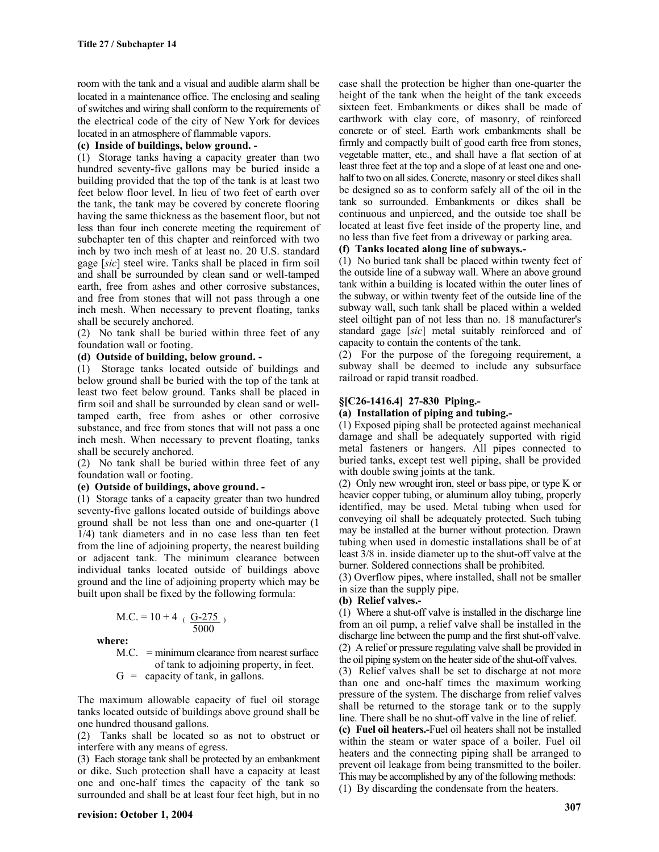room with the tank and a visual and audible alarm shall be located in a maintenance office. The enclosing and sealing of switches and wiring shall conform to the requirements of the electrical code of the city of New York for devices located in an atmosphere of flammable vapors.

### **(c) Inside of buildings, below ground. -**

(1) Storage tanks having a capacity greater than two hundred seventy-five gallons may be buried inside a building provided that the top of the tank is at least two feet below floor level. In lieu of two feet of earth over the tank, the tank may be covered by concrete flooring having the same thickness as the basement floor, but not less than four inch concrete meeting the requirement of subchapter ten of this chapter and reinforced with two inch by two inch mesh of at least no. 20 U.S. standard gage [*sic*] steel wire. Tanks shall be placed in firm soil and shall be surrounded by clean sand or well-tamped earth, free from ashes and other corrosive substances, and free from stones that will not pass through a one inch mesh. When necessary to prevent floating, tanks shall be securely anchored.

(2) No tank shall be buried within three feet of any foundation wall or footing.

# **(d) Outside of building, below ground. -**

(1) Storage tanks located outside of buildings and below ground shall be buried with the top of the tank at least two feet below ground. Tanks shall be placed in firm soil and shall be surrounded by clean sand or welltamped earth, free from ashes or other corrosive substance, and free from stones that will not pass a one inch mesh. When necessary to prevent floating, tanks shall be securely anchored.

(2) No tank shall be buried within three feet of any foundation wall or footing.

#### **(e) Outside of buildings, above ground. -**

(1) Storage tanks of a capacity greater than two hundred seventy-five gallons located outside of buildings above ground shall be not less than one and one-quarter (1 1/4) tank diameters and in no case less than ten feet from the line of adjoining property, the nearest building or adjacent tank. The minimum clearance between individual tanks located outside of buildings above ground and the line of adjoining property which may be built upon shall be fixed by the following formula:

$$
M.C. = 10 + 4 \cdot \frac{G-275}{5000})
$$

**where:**

M.C. = minimum clearance from nearest surface of tank to adjoining property, in feet.

 $G =$  capacity of tank, in gallons.

The maximum allowable capacity of fuel oil storage tanks located outside of buildings above ground shall be one hundred thousand gallons.

(2) Tanks shall be located so as not to obstruct or interfere with any means of egress.

(3) Each storage tank shall be protected by an embankment or dike. Such protection shall have a capacity at least one and one-half times the capacity of the tank so surrounded and shall be at least four feet high, but in no

case shall the protection be higher than one-quarter the height of the tank when the height of the tank exceeds sixteen feet. Embankments or dikes shall be made of earthwork with clay core, of masonry, of reinforced concrete or of steel. Earth work embankments shall be firmly and compactly built of good earth free from stones, vegetable matter, etc., and shall have a flat section of at least three feet at the top and a slope of at least one and onehalf to two on all sides. Concrete, masonry or steel dikes shall be designed so as to conform safely all of the oil in the tank so surrounded. Embankments or dikes shall be continuous and unpierced, and the outside toe shall be located at least five feet inside of the property line, and no less than five feet from a driveway or parking area.

# **(f) Tanks located along line of subways.-**

(1) No buried tank shall be placed within twenty feet of the outside line of a subway wall. Where an above ground tank within a building is located within the outer lines of the subway, or within twenty feet of the outside line of the subway wall, such tank shall be placed within a welded steel oiltight pan of not less than no. 18 manufacturer's standard gage [*sic*] metal suitably reinforced and of capacity to contain the contents of the tank.

(2) For the purpose of the foregoing requirement, a subway shall be deemed to include any subsurface railroad or rapid transit roadbed.

# **§[C26-1416.4] 27-830 Piping.-**

#### **(a) Installation of piping and tubing.-**

(1) Exposed piping shall be protected against mechanical damage and shall be adequately supported with rigid metal fasteners or hangers. All pipes connected to buried tanks, except test well piping, shall be provided with double swing joints at the tank.

(2) Only new wrought iron, steel or bass pipe, or type K or heavier copper tubing, or aluminum alloy tubing, properly identified, may be used. Metal tubing when used for conveying oil shall be adequately protected. Such tubing may be installed at the burner without protection. Drawn tubing when used in domestic installations shall be of at least 3/8 in. inside diameter up to the shut-off valve at the burner. Soldered connections shall be prohibited.

(3) Overflow pipes, where installed, shall not be smaller in size than the supply pipe.

#### **(b) Relief valves.-**

(1) Where a shut-off valve is installed in the discharge line from an oil pump, a relief valve shall be installed in the discharge line between the pump and the first shut-off valve. (2) A relief or pressure regulating valve shall be provided in the oil piping system on the heater side of the shut-off valves.

(3) Relief valves shall be set to discharge at not more than one and one-half times the maximum working pressure of the system. The discharge from relief valves shall be returned to the storage tank or to the supply line. There shall be no shut-off valve in the line of relief.

**(c) Fuel oil heaters.-**Fuel oil heaters shall not be installed within the steam or water space of a boiler. Fuel oil heaters and the connecting piping shall be arranged to prevent oil leakage from being transmitted to the boiler. This may be accomplished by any of the following methods:

(1) By discarding the condensate from the heaters.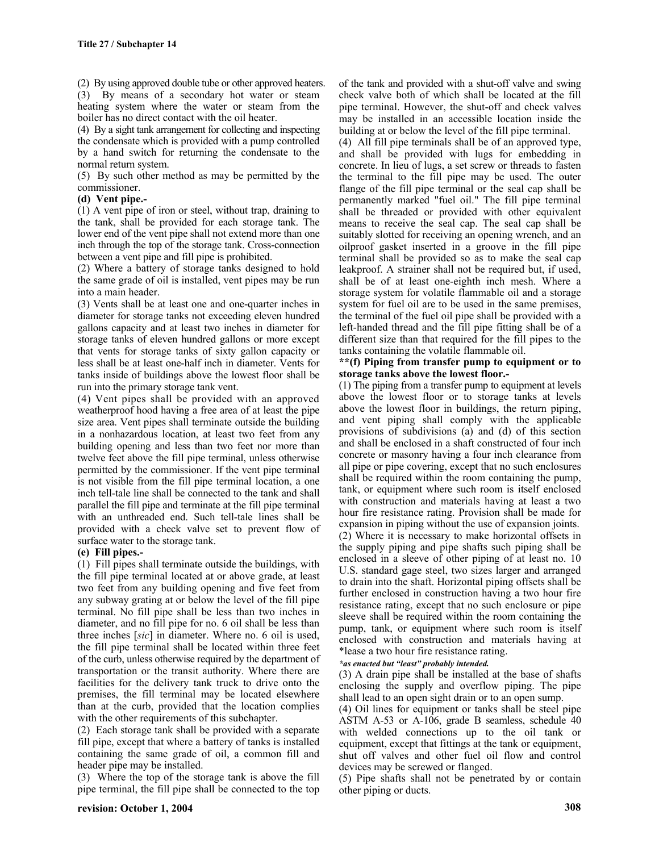(2) By using approved double tube or other approved heaters. (3) By means of a secondary hot water or steam heating system where the water or steam from the boiler has no direct contact with the oil heater.

(4) By a sight tank arrangement for collecting and inspecting the condensate which is provided with a pump controlled by a hand switch for returning the condensate to the normal return system.

(5) By such other method as may be permitted by the commissioner.

### **(d) Vent pipe.-**

(1) A vent pipe of iron or steel, without trap, draining to the tank, shall be provided for each storage tank. The lower end of the vent pipe shall not extend more than one inch through the top of the storage tank. Cross-connection between a vent pipe and fill pipe is prohibited.

(2) Where a battery of storage tanks designed to hold the same grade of oil is installed, vent pipes may be run into a main header.

(3) Vents shall be at least one and one-quarter inches in diameter for storage tanks not exceeding eleven hundred gallons capacity and at least two inches in diameter for storage tanks of eleven hundred gallons or more except that vents for storage tanks of sixty gallon capacity or less shall be at least one-half inch in diameter. Vents for tanks inside of buildings above the lowest floor shall be run into the primary storage tank vent.

(4) Vent pipes shall be provided with an approved weatherproof hood having a free area of at least the pipe size area. Vent pipes shall terminate outside the building in a nonhazardous location, at least two feet from any building opening and less than two feet nor more than twelve feet above the fill pipe terminal, unless otherwise permitted by the commissioner. If the vent pipe terminal is not visible from the fill pipe terminal location, a one inch tell-tale line shall be connected to the tank and shall parallel the fill pipe and terminate at the fill pipe terminal with an unthreaded end. Such tell-tale lines shall be provided with a check valve set to prevent flow of surface water to the storage tank.

# **(e) Fill pipes.-**

(1) Fill pipes shall terminate outside the buildings, with the fill pipe terminal located at or above grade, at least two feet from any building opening and five feet from any subway grating at or below the level of the fill pipe terminal. No fill pipe shall be less than two inches in diameter, and no fill pipe for no. 6 oil shall be less than three inches [*sic*] in diameter. Where no. 6 oil is used, the fill pipe terminal shall be located within three feet of the curb, unless otherwise required by the department of transportation or the transit authority. Where there are facilities for the delivery tank truck to drive onto the premises, the fill terminal may be located elsewhere than at the curb, provided that the location complies with the other requirements of this subchapter.

(2) Each storage tank shall be provided with a separate fill pipe, except that where a battery of tanks is installed containing the same grade of oil, a common fill and header pipe may be installed.

(3) Where the top of the storage tank is above the fill pipe terminal, the fill pipe shall be connected to the top of the tank and provided with a shut-off valve and swing check valve both of which shall be located at the fill pipe terminal. However, the shut-off and check valves may be installed in an accessible location inside the building at or below the level of the fill pipe terminal.

(4) All fill pipe terminals shall be of an approved type, and shall be provided with lugs for embedding in concrete. In lieu of lugs, a set screw or threads to fasten the terminal to the fill pipe may be used. The outer flange of the fill pipe terminal or the seal cap shall be permanently marked "fuel oil." The fill pipe terminal shall be threaded or provided with other equivalent means to receive the seal cap. The seal cap shall be suitably slotted for receiving an opening wrench, and an oilproof gasket inserted in a groove in the fill pipe terminal shall be provided so as to make the seal cap leakproof. A strainer shall not be required but, if used, shall be of at least one-eighth inch mesh. Where a storage system for volatile flammable oil and a storage system for fuel oil are to be used in the same premises, the terminal of the fuel oil pipe shall be provided with a left-handed thread and the fill pipe fitting shall be of a different size than that required for the fill pipes to the tanks containing the volatile flammable oil.

#### **\*\*(f) Piping from transfer pump to equipment or to storage tanks above the lowest floor.-**

(1) The piping from a transfer pump to equipment at levels above the lowest floor or to storage tanks at levels above the lowest floor in buildings, the return piping, and vent piping shall comply with the applicable provisions of subdivisions (a) and (d) of this section and shall be enclosed in a shaft constructed of four inch concrete or masonry having a four inch clearance from all pipe or pipe covering, except that no such enclosures shall be required within the room containing the pump, tank, or equipment where such room is itself enclosed with construction and materials having at least a two hour fire resistance rating. Provision shall be made for expansion in piping without the use of expansion joints. (2) Where it is necessary to make horizontal offsets in the supply piping and pipe shafts such piping shall be enclosed in a sleeve of other piping of at least no. 10 U.S. standard gage steel, two sizes larger and arranged to drain into the shaft. Horizontal piping offsets shall be further enclosed in construction having a two hour fire resistance rating, except that no such enclosure or pipe sleeve shall be required within the room containing the pump, tank, or equipment where such room is itself enclosed with construction and materials having at \*lease a two hour fire resistance rating.

# *\*as enacted but "least" probably intended.*

(3) A drain pipe shall be installed at the base of shafts enclosing the supply and overflow piping. The pipe shall lead to an open sight drain or to an open sump.

(4) Oil lines for equipment or tanks shall be steel pipe ASTM A-53 or A-106, grade B seamless, schedule 40 with welded connections up to the oil tank or equipment, except that fittings at the tank or equipment, shut off valves and other fuel oil flow and control devices may be screwed or flanged.

(5) Pipe shafts shall not be penetrated by or contain other piping or ducts.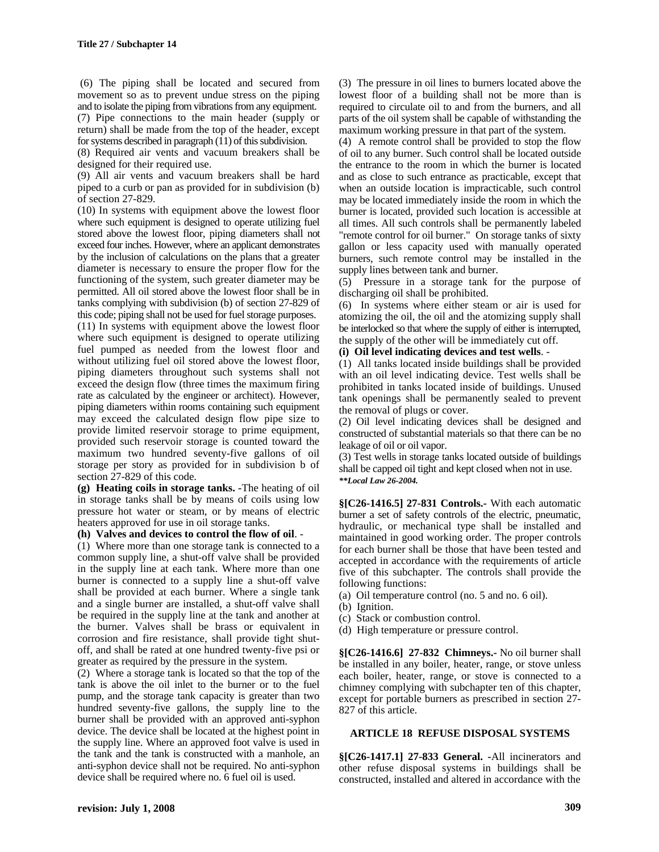(6) The piping shall be located and secured from movement so as to prevent undue stress on the piping and to isolate the piping from vibrations from any equipment. (7) Pipe connections to the main header (supply or return) shall be made from the top of the header, except for systems described in paragraph (11) of this subdivision.

(8) Required air vents and vacuum breakers shall be designed for their required use.

(9) All air vents and vacuum breakers shall be hard piped to a curb or pan as provided for in subdivision (b) of section 27-829.

(10) In systems with equipment above the lowest floor where such equipment is designed to operate utilizing fuel stored above the lowest floor, piping diameters shall not exceed four inches. However, where an applicant demonstrates by the inclusion of calculations on the plans that a greater diameter is necessary to ensure the proper flow for the functioning of the system, such greater diameter may be permitted. All oil stored above the lowest floor shall be in tanks complying with subdivision (b) of section 27-829 of this code; piping shall not be used for fuel storage purposes.

(11) In systems with equipment above the lowest floor where such equipment is designed to operate utilizing fuel pumped as needed from the lowest floor and without utilizing fuel oil stored above the lowest floor, piping diameters throughout such systems shall not exceed the design flow (three times the maximum firing rate as calculated by the engineer or architect). However, piping diameters within rooms containing such equipment may exceed the calculated design flow pipe size to provide limited reservoir storage to prime equipment, provided such reservoir storage is counted toward the maximum two hundred seventy-five gallons of oil storage per story as provided for in subdivision b of section 27-829 of this code.

**(g) Heating coils in storage tanks. -**The heating of oil in storage tanks shall be by means of coils using low pressure hot water or steam, or by means of electric heaters approved for use in oil storage tanks.

#### **(h) Valves and devices to control the flow of oil**. -

(1) Where more than one storage tank is connected to a common supply line, a shut-off valve shall be provided in the supply line at each tank. Where more than one burner is connected to a supply line a shut-off valve shall be provided at each burner. Where a single tank and a single burner are installed, a shut-off valve shall be required in the supply line at the tank and another at the burner. Valves shall be brass or equivalent in corrosion and fire resistance, shall provide tight shutoff, and shall be rated at one hundred twenty-five psi or greater as required by the pressure in the system.

(2) Where a storage tank is located so that the top of the tank is above the oil inlet to the burner or to the fuel pump, and the storage tank capacity is greater than two hundred seventy-five gallons, the supply line to the burner shall be provided with an approved anti-syphon device. The device shall be located at the highest point in the supply line. Where an approved foot valve is used in the tank and the tank is constructed with a manhole, an anti-syphon device shall not be required. No anti-syphon device shall be required where no. 6 fuel oil is used.

(3) The pressure in oil lines to burners located above the lowest floor of a building shall not be more than is required to circulate oil to and from the burners, and all parts of the oil system shall be capable of withstanding the maximum working pressure in that part of the system.

(4) A remote control shall be provided to stop the flow of oil to any burner. Such control shall be located outside the entrance to the room in which the burner is located and as close to such entrance as practicable, except that when an outside location is impracticable, such control may be located immediately inside the room in which the burner is located, provided such location is accessible at all times. All such controls shall be permanently labeled "remote control for oil burner." On storage tanks of sixty gallon or less capacity used with manually operated burners, such remote control may be installed in the supply lines between tank and burner.

(5) Pressure in a storage tank for the purpose of discharging oil shall be prohibited.

(6) In systems where either steam or air is used for atomizing the oil, the oil and the atomizing supply shall be interlocked so that where the supply of either is interrupted, the supply of the other will be immediately cut off.

### **(i) Oil level indicating devices and test wells**. -

(1) All tanks located inside buildings shall be provided with an oil level indicating device. Test wells shall be prohibited in tanks located inside of buildings. Unused tank openings shall be permanently sealed to prevent the removal of plugs or cover.

(2) Oil level indicating devices shall be designed and constructed of substantial materials so that there can be no leakage of oil or oil vapor.

(3) Test wells in storage tanks located outside of buildings shall be capped oil tight and kept closed when not in use. *\*\*Local Law 26-2004.*

**§[C26-1416.5] 27-831 Controls.-** With each automatic burner a set of safety controls of the electric, pneumatic, hydraulic, or mechanical type shall be installed and maintained in good working order. The proper controls for each burner shall be those that have been tested and accepted in accordance with the requirements of article five of this subchapter. The controls shall provide the following functions:

(a) Oil temperature control (no. 5 and no. 6 oil).

- (b) Ignition.
- (c) Stack or combustion control.
- (d) High temperature or pressure control.

**§[C26-1416.6] 27-832 Chimneys.-** No oil burner shall be installed in any boiler, heater, range, or stove unless each boiler, heater, range, or stove is connected to a chimney complying with subchapter ten of this chapter, except for portable burners as prescribed in section 27- 827 of this article.

#### **ARTICLE 18 REFUSE DISPOSAL SYSTEMS**

**§[C26-1417.1] 27-833 General. -**All incinerators and other refuse disposal systems in buildings shall be constructed, installed and altered in accordance with the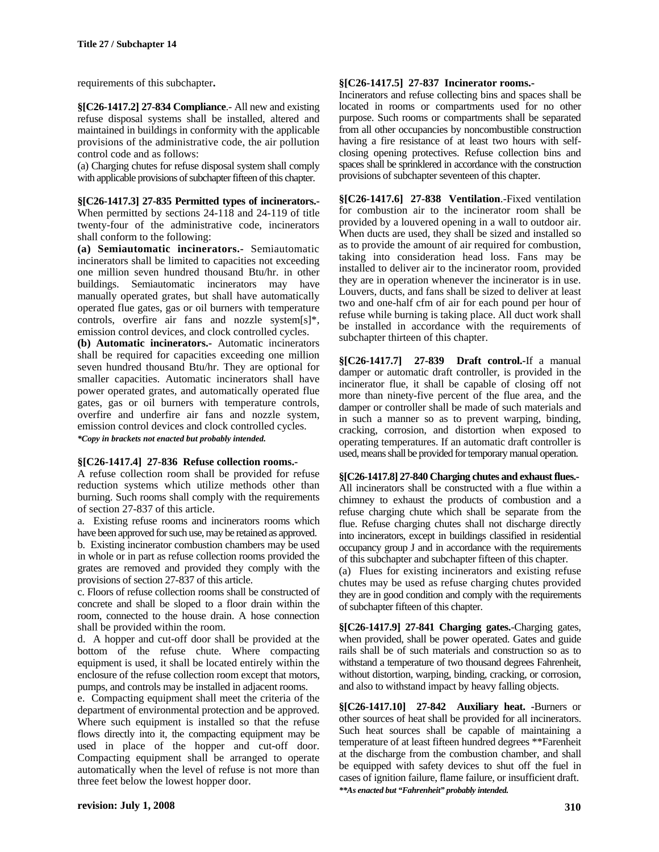requirements of this subchapter**.**

**§[C26-1417.2] 27-834 Compliance**.- All new and existing refuse disposal systems shall be installed, altered and maintained in buildings in conformity with the applicable provisions of the administrative code, the air pollution control code and as follows:

(a) Charging chutes for refuse disposal system shall comply with applicable provisions of subchapter fifteen of this chapter.

**§[C26-1417.3] 27-835 Permitted types of incinerators.-**

When permitted by sections 24-118 and 24-119 of title twenty-four of the administrative code, incinerators shall conform to the following:

**(a) Semiautomatic incinerators.-** Semiautomatic incinerators shall be limited to capacities not exceeding one million seven hundred thousand Btu/hr. in other buildings. Semiautomatic incinerators may have manually operated grates, but shall have automatically operated flue gates, gas or oil burners with temperature controls, overfire air fans and nozzle system[s]\*, emission control devices, and clock controlled cycles.

**(b) Automatic incinerators.-** Automatic incinerators shall be required for capacities exceeding one million seven hundred thousand Btu/hr. They are optional for smaller capacities. Automatic incinerators shall have power operated grates, and automatically operated flue gates, gas or oil burners with temperature controls, overfire and underfire air fans and nozzle system, emission control devices and clock controlled cycles. *\*Copy in brackets not enacted but probably intended.*

#### **§[C26-1417.4] 27-836 Refuse collection rooms.-**

A refuse collection room shall be provided for refuse reduction systems which utilize methods other than burning. Such rooms shall comply with the requirements of section 27-837 of this article.

a. Existing refuse rooms and incinerators rooms which have been approved for such use, may be retained as approved. b. Existing incinerator combustion chambers may be used in whole or in part as refuse collection rooms provided the grates are removed and provided they comply with the provisions of section 27-837 of this article.

c. Floors of refuse collection rooms shall be constructed of concrete and shall be sloped to a floor drain within the room, connected to the house drain. A hose connection shall be provided within the room.

d. A hopper and cut-off door shall be provided at the bottom of the refuse chute. Where compacting equipment is used, it shall be located entirely within the enclosure of the refuse collection room except that motors, pumps, and controls may be installed in adjacent rooms.

e. Compacting equipment shall meet the criteria of the department of environmental protection and be approved. Where such equipment is installed so that the refuse flows directly into it, the compacting equipment may be used in place of the hopper and cut-off door. Compacting equipment shall be arranged to operate automatically when the level of refuse is not more than three feet below the lowest hopper door.

#### **§[C26-1417.5] 27-837 Incinerator rooms.-**

Incinerators and refuse collecting bins and spaces shall be located in rooms or compartments used for no other purpose. Such rooms or compartments shall be separated from all other occupancies by noncombustible construction having a fire resistance of at least two hours with selfclosing opening protectives. Refuse collection bins and spaces shall be sprinklered in accordance with the construction provisions of subchapter seventeen of this chapter.

**§[C26-1417.6] 27-838 Ventilation**.-Fixed ventilation for combustion air to the incinerator room shall be provided by a louvered opening in a wall to outdoor air. When ducts are used, they shall be sized and installed so as to provide the amount of air required for combustion, taking into consideration head loss. Fans may be installed to deliver air to the incinerator room, provided they are in operation whenever the incinerator is in use. Louvers, ducts, and fans shall be sized to deliver at least two and one-half cfm of air for each pound per hour of refuse while burning is taking place. All duct work shall be installed in accordance with the requirements of subchapter thirteen of this chapter.

**§[C26-1417.7] 27-839 Draft control.-**If a manual damper or automatic draft controller, is provided in the incinerator flue, it shall be capable of closing off not more than ninety-five percent of the flue area, and the damper or controller shall be made of such materials and in such a manner so as to prevent warping, binding, cracking, corrosion, and distortion when exposed to operating temperatures. If an automatic draft controller is used, means shall be provided for temporary manual operation.

**§[C26-1417.8] 27-840 Charging chutes and exhaust flues.-**

All incinerators shall be constructed with a flue within a chimney to exhaust the products of combustion and a refuse charging chute which shall be separate from the flue. Refuse charging chutes shall not discharge directly into incinerators, except in buildings classified in residential occupancy group J and in accordance with the requirements of this subchapter and subchapter fifteen of this chapter.

(a) Flues for existing incinerators and existing refuse chutes may be used as refuse charging chutes provided they are in good condition and comply with the requirements of subchapter fifteen of this chapter.

**§[C26-1417.9] 27-841 Charging gates.**-Charging gates, when provided, shall be power operated. Gates and guide rails shall be of such materials and construction so as to withstand a temperature of two thousand degrees Fahrenheit, without distortion, warping, binding, cracking, or corrosion, and also to withstand impact by heavy falling objects.

**§[C26-1417.10] 27-842 Auxiliary heat. -**Burners or other sources of heat shall be provided for all incinerators. Such heat sources shall be capable of maintaining a temperature of at least fifteen hundred degrees \*\*Farenheit at the discharge from the combustion chamber, and shall be equipped with safety devices to shut off the fuel in cases of ignition failure, flame failure, or insufficient draft. *\*\*As enacted but "Fahrenheit" probably intended.*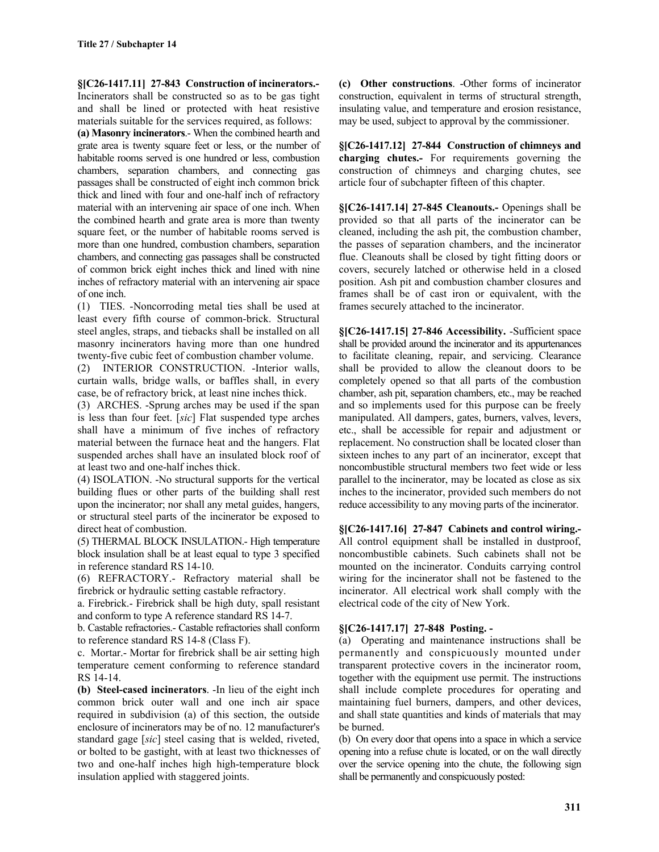**§[C26-1417.11] 27-843 Construction of incinerators.-** Incinerators shall be constructed so as to be gas tight and shall be lined or protected with heat resistive materials suitable for the services required, as follows:

**(a) Masonry incinerators**.- When the combined hearth and grate area is twenty square feet or less, or the number of habitable rooms served is one hundred or less, combustion chambers, separation chambers, and connecting gas passages shall be constructed of eight inch common brick thick and lined with four and one-half inch of refractory material with an intervening air space of one inch. When the combined hearth and grate area is more than twenty square feet, or the number of habitable rooms served is more than one hundred, combustion chambers, separation chambers, and connecting gas passages shall be constructed of common brick eight inches thick and lined with nine inches of refractory material with an intervening air space of one inch.

(1) TIES. -Noncorroding metal ties shall be used at least every fifth course of common-brick. Structural steel angles, straps, and tiebacks shall be installed on all masonry incinerators having more than one hundred twenty-five cubic feet of combustion chamber volume.

(2) INTERIOR CONSTRUCTION. -Interior walls, curtain walls, bridge walls, or baffles shall, in every case, be of refractory brick, at least nine inches thick.

(3) ARCHES. -Sprung arches may be used if the span is less than four feet. [*sic*] Flat suspended type arches shall have a minimum of five inches of refractory material between the furnace heat and the hangers. Flat suspended arches shall have an insulated block roof of at least two and one-half inches thick.

(4) ISOLATION. -No structural supports for the vertical building flues or other parts of the building shall rest upon the incinerator; nor shall any metal guides, hangers, or structural steel parts of the incinerator be exposed to direct heat of combustion.

(5) THERMAL BLOCK INSULATION.- High temperature block insulation shall be at least equal to type 3 specified in reference standard RS 14-10.

(6) REFRACTORY.- Refractory material shall be firebrick or hydraulic setting castable refractory.

a. Firebrick.- Firebrick shall be high duty, spall resistant and conform to type A reference standard RS 14-7.

b. Castable refractories.- Castable refractories shall conform to reference standard RS 14-8 (Class F).

c. Mortar.- Mortar for firebrick shall be air setting high temperature cement conforming to reference standard RS 14-14.

**(b) Steel-cased incinerators**. -In lieu of the eight inch common brick outer wall and one inch air space required in subdivision (a) of this section, the outside enclosure of incinerators may be of no. 12 manufacturer's standard gage [*sic*] steel casing that is welded, riveted, or bolted to be gastight, with at least two thicknesses of two and one-half inches high high-temperature block insulation applied with staggered joints.

**(c) Other constructions**. -Other forms of incinerator construction, equivalent in terms of structural strength, insulating value, and temperature and erosion resistance, may be used, subject to approval by the commissioner.

**§[C26-1417.12] 27-844 Construction of chimneys and charging chutes.-** For requirements governing the construction of chimneys and charging chutes, see article four of subchapter fifteen of this chapter.

**§[C26-1417.14] 27-845 Cleanouts.-** Openings shall be provided so that all parts of the incinerator can be cleaned, including the ash pit, the combustion chamber, the passes of separation chambers, and the incinerator flue. Cleanouts shall be closed by tight fitting doors or covers, securely latched or otherwise held in a closed position. Ash pit and combustion chamber closures and frames shall be of cast iron or equivalent, with the frames securely attached to the incinerator.

**§[C26-1417.15] 27-846 Accessibility.** -Sufficient space shall be provided around the incinerator and its appurtenances to facilitate cleaning, repair, and servicing. Clearance shall be provided to allow the cleanout doors to be completely opened so that all parts of the combustion chamber, ash pit, separation chambers, etc., may be reached and so implements used for this purpose can be freely manipulated. All dampers, gates, burners, valves, levers, etc., shall be accessible for repair and adjustment or replacement. No construction shall be located closer than sixteen inches to any part of an incinerator, except that noncombustible structural members two feet wide or less parallel to the incinerator, may be located as close as six inches to the incinerator, provided such members do not reduce accessibility to any moving parts of the incinerator.

**§[C26-1417.16] 27-847 Cabinets and control wiring.-** All control equipment shall be installed in dustproof, noncombustible cabinets. Such cabinets shall not be mounted on the incinerator. Conduits carrying control wiring for the incinerator shall not be fastened to the incinerator. All electrical work shall comply with the electrical code of the city of New York.

# **§[C26-1417.17] 27-848 Posting. -**

(a) Operating and maintenance instructions shall be permanently and conspicuously mounted under transparent protective covers in the incinerator room, together with the equipment use permit. The instructions shall include complete procedures for operating and maintaining fuel burners, dampers, and other devices, and shall state quantities and kinds of materials that may be burned.

(b) On every door that opens into a space in which a service opening into a refuse chute is located, or on the wall directly over the service opening into the chute, the following sign shall be permanently and conspicuously posted: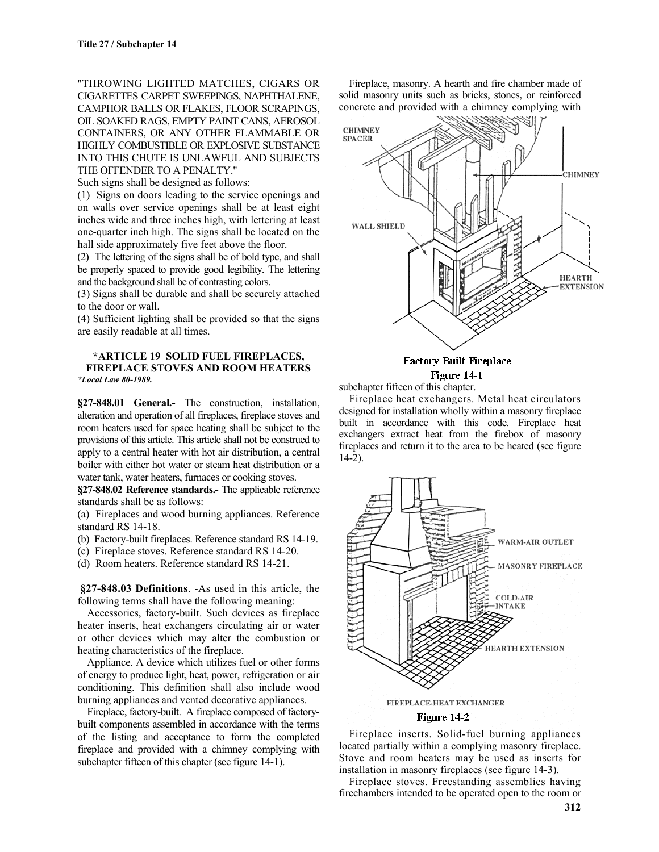"THROWING LIGHTED MATCHES, CIGARS OR CIGARETTES CARPET SWEEPINGS, NAPHTHALENE, CAMPHOR BALLS OR FLAKES, FLOOR SCRAPINGS, OIL SOAKED RAGS, EMPTY PAINT CANS, AEROSOL CONTAINERS, OR ANY OTHER FLAMMABLE OR HIGHLY COMBUSTIBLE OR EXPLOSIVE SUBSTANCE INTO THIS CHUTE IS UNLAWFUL AND SUBJECTS THE OFFENDER TO A PENALTY."

Such signs shall be designed as follows:

(1) Signs on doors leading to the service openings and on walls over service openings shall be at least eight inches wide and three inches high, with lettering at least one-quarter inch high. The signs shall be located on the hall side approximately five feet above the floor.

(2) The lettering of the signs shall be of bold type, and shall be properly spaced to provide good legibility. The lettering and the background shall be of contrasting colors.

(3) Signs shall be durable and shall be securely attached to the door or wall.

(4) Sufficient lighting shall be provided so that the signs are easily readable at all times.

#### **\*ARTICLE 19 SOLID FUEL FIREPLACES, FIREPLACE STOVES AND ROOM HEATERS** *\*Local Law 80-1989.*

**§27-848.01 General.-** The construction, installation, alteration and operation of all fireplaces, fireplace stoves and room heaters used for space heating shall be subject to the provisions of this article. This article shall not be construed to apply to a central heater with hot air distribution, a central boiler with either hot water or steam heat distribution or a water tank, water heaters, furnaces or cooking stoves.

**§27-848.02 Reference standards.-** The applicable reference standards shall be as follows:

(a) Fireplaces and wood burning appliances. Reference standard RS 14-18.

(b) Factory-built fireplaces. Reference standard RS 14-19.

- (c) Fireplace stoves. Reference standard RS 14-20.
- (d) Room heaters. Reference standard RS 14-21.

**§27-848.03 Definitions**. -As used in this article, the following terms shall have the following meaning:

Accessories, factory-built. Such devices as fireplace heater inserts, heat exchangers circulating air or water or other devices which may alter the combustion or heating characteristics of the fireplace.

Appliance. A device which utilizes fuel or other forms of energy to produce light, heat, power, refrigeration or air conditioning. This definition shall also include wood burning appliances and vented decorative appliances.

Fireplace, factory-built. A fireplace composed of factorybuilt components assembled in accordance with the terms of the listing and acceptance to form the completed fireplace and provided with a chimney complying with subchapter fifteen of this chapter (see figure 14-1).

Fireplace, masonry. A hearth and fire chamber made of solid masonry units such as bricks, stones, or reinforced concrete and provided with a chimney complying with



subchapter fifteen of this chapter.

Fireplace heat exchangers. Metal heat circulators designed for installation wholly within a masonry fireplace built in accordance with this code. Fireplace heat exchangers extract heat from the firebox of masonry fireplaces and return it to the area to be heated (see figure 14-2).



Figure 14-2

Fireplace inserts. Solid-fuel burning appliances located partially within a complying masonry fireplace. Stove and room heaters may be used as inserts for installation in masonry fireplaces (see figure 14-3).

Fireplace stoves. Freestanding assemblies having firechambers intended to be operated open to the room or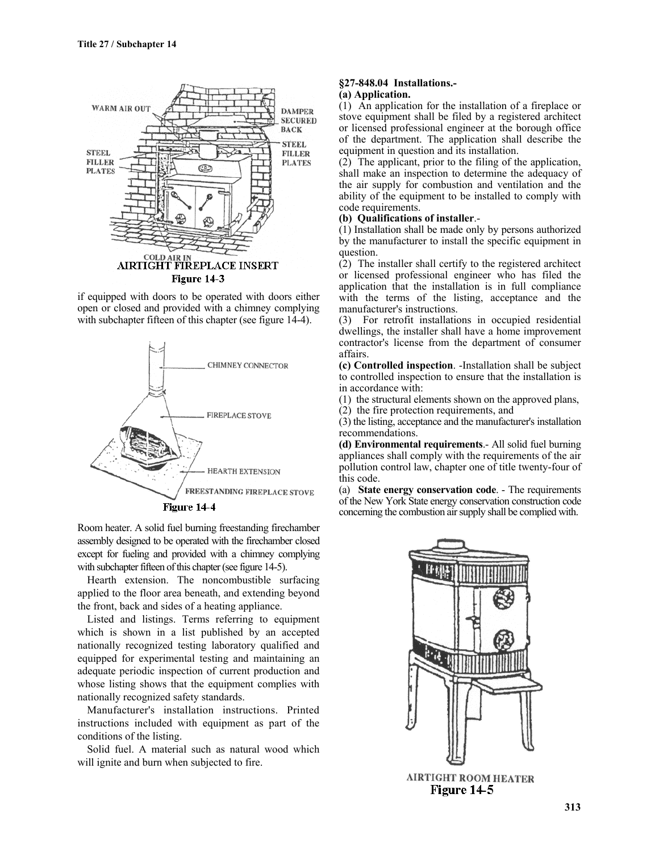

if equipped with doors to be operated with doors either open or closed and provided with a chimney complying with subchapter fifteen of this chapter (see figure 14-4).



Room heater. A solid fuel burning freestanding firechamber assembly designed to be operated with the firechamber closed except for fueling and provided with a chimney complying with subchapter fifteen of this chapter (see figure 14-5).

Hearth extension. The noncombustible surfacing applied to the floor area beneath, and extending beyond the front, back and sides of a heating appliance.

Listed and listings. Terms referring to equipment which is shown in a list published by an accepted nationally recognized testing laboratory qualified and equipped for experimental testing and maintaining an adequate periodic inspection of current production and whose listing shows that the equipment complies with nationally recognized safety standards.

Manufacturer's installation instructions. Printed instructions included with equipment as part of the conditions of the listing.

Solid fuel. A material such as natural wood which will ignite and burn when subjected to fire.

#### **§27-848.04 Installations.- (a) Application.**

(1) An application for the installation of a fireplace or stove equipment shall be filed by a registered architect or licensed professional engineer at the borough office of the department. The application shall describe the equipment in question and its installation.

(2) The applicant, prior to the filing of the application, shall make an inspection to determine the adequacy of the air supply for combustion and ventilation and the ability of the equipment to be installed to comply with code requirements.

# **(b) Qualifications of installer**.-

(1) Installation shall be made only by persons authorized by the manufacturer to install the specific equipment in question.

(2) The installer shall certify to the registered architect or licensed professional engineer who has filed the application that the installation is in full compliance with the terms of the listing, acceptance and the manufacturer's instructions.

(3) For retrofit installations in occupied residential dwellings, the installer shall have a home improvement contractor's license from the department of consumer affairs.

**(c) Controlled inspection**. -Installation shall be subject to controlled inspection to ensure that the installation is in accordance with:

(1) the structural elements shown on the approved plans, (2) the fire protection requirements, and

(3) the listing, acceptance and the manufacturer's installation recommendations.

**(d) Environmental requirements**.- All solid fuel burning appliances shall comply with the requirements of the air pollution control law, chapter one of title twenty-four of this code.

(a) **State energy conservation code**. - The requirements of the New York State energy conservation construction code concerning the combustion air supply shall be complied with.



**313**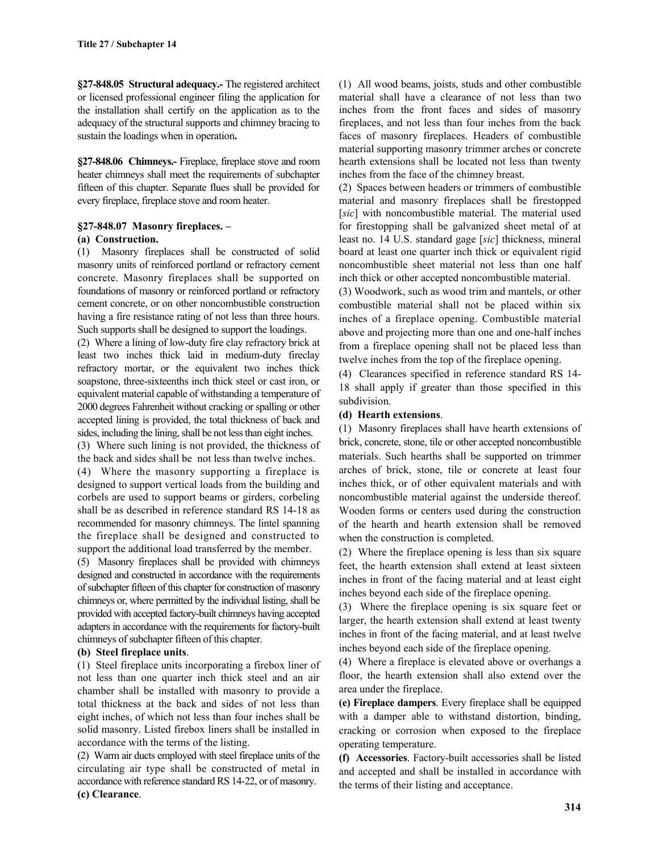**§27-848.05 Structural adequacy.-** The registered architect or licensed professional engineer filing the application for the installation shall certify on the application as to the adequacy of the structural supports and chimney bracing to sustain the loadings when in operation**.**

**§27-848.06 Chimneys.-** Fireplace, fireplace stove and room heater chimneys shall meet the requirements of subchapter fifteen of this chapter. Separate flues shall be provided for every fireplace, fireplace stove and room heater.

# **§27-848.07 Masonry fireplaces. –**

# **(a) Construction.**

(1) Masonry fireplaces shall be constructed of solid masonry units of reinforced portland or refractory cement concrete. Masonry fireplaces shall be supported on foundations of masonry or reinforced portland or refractory cement concrete, or on other noncombustible construction having a fire resistance rating of not less than three hours. Such supports shall be designed to support the loadings.

(2) Where a lining of low-duty fire clay refractory brick at least two inches thick laid in medium-duty fireclay refractory mortar, or the equivalent two inches thick soapstone, three-sixteenths inch thick steel or cast iron, or equivalent material capable of withstanding a temperature of 2000 degrees Fahrenheit without cracking or spalling or other accepted lining is provided, the total thickness of back and sides, including the lining, shall be not less than eight inches.

(3) Where such lining is not provided, the thickness of the back and sides shall be not less than twelve inches.

(4) Where the masonry supporting a fireplace is designed to support vertical loads from the building and corbels are used to support beams or girders, corbeling shall be as described in reference standard RS 14-18 as recommended for masonry chimneys. The lintel spanning the fireplace shall be designed and constructed to support the additional load transferred by the member.

(5) Masonry fireplaces shall be provided with chimneys designed and constructed in accordance with the requirements of subchapter fifteen of this chapter for construction of masonry chimneys or, where permitted by the individual listing, shall be provided with accepted factory-built chimneys having accepted adapters in accordance with the requirements for factory-built chimneys of subchapter fifteen of this chapter.

# **(b) Steel fireplace units**.

(1) Steel fireplace units incorporating a firebox liner of not less than one quarter inch thick steel and an air chamber shall be installed with masonry to provide a total thickness at the back and sides of not less than eight inches, of which not less than four inches shall be solid masonry. Listed firebox liners shall be installed in accordance with the terms of the listing.

(2) Warm air ducts employed with steel fireplace units of the circulating air type shall be constructed of metal in accordance with reference standard RS 14-22, or of masonry. **(c) Clearance**.

(1) All wood beams, joists, studs and other combustible material shall have a clearance of not less than two inches from the front faces and sides of masonry fireplaces, and not less than four inches from the back faces of masonry fireplaces. Headers of combustible material supporting masonry trimmer arches or concrete hearth extensions shall be located not less than twenty inches from the face of the chimney breast.

(2) Spaces between headers or trimmers of combustible material and masonry fireplaces shall be firestopped [sic] with noncombustible material. The material used for firestopping shall be galvanized sheet metal of at least no. 14 U.S. standard gage [*sic*] thickness, mineral board at least one quarter inch thick or equivalent rigid noncombustible sheet material not less than one half inch thick or other accepted noncombustible material.

(3) Woodwork, such as wood trim and mantels, or other combustible material shall not be placed within six inches of a fireplace opening. Combustible material above and projecting more than one and one-half inches from a fireplace opening shall not be placed less than twelve inches from the top of the fireplace opening.

(4) Clearances specified in reference standard RS 14- 18 shall apply if greater than those specified in this subdivision.

# **(d) Hearth extensions**.

(1) Masonry fireplaces shall have hearth extensions of brick, concrete, stone, tile or other accepted noncombustible materials. Such hearths shall be supported on trimmer arches of brick, stone, tile or concrete at least four inches thick, or of other equivalent materials and with noncombustible material against the underside thereof. Wooden forms or centers used during the construction of the hearth and hearth extension shall be removed when the construction is completed.

(2) Where the fireplace opening is less than six square feet, the hearth extension shall extend at least sixteen inches in front of the facing material and at least eight inches beyond each side of the fireplace opening.

(3) Where the fireplace opening is six square feet or larger, the hearth extension shall extend at least twenty inches in front of the facing material, and at least twelve inches beyond each side of the fireplace opening.

(4) Where a fireplace is elevated above or overhangs a floor, the hearth extension shall also extend over the area under the fireplace.

**(e) Fireplace dampers**. Every fireplace shall be equipped with a damper able to withstand distortion, binding, cracking or corrosion when exposed to the fireplace operating temperature.

**(f) Accessories**. Factory-built accessories shall be listed and accepted and shall be installed in accordance with the terms of their listing and acceptance.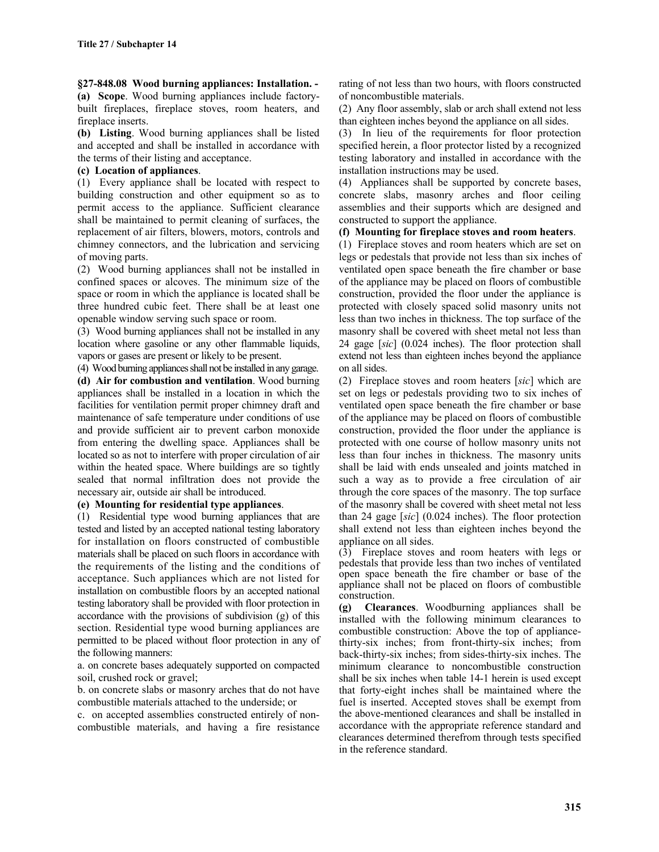**§27-848.08 Wood burning appliances: Installation. - (a) Scope**. Wood burning appliances include factorybuilt fireplaces, fireplace stoves, room heaters, and fireplace inserts.

**(b) Listing**. Wood burning appliances shall be listed and accepted and shall be installed in accordance with the terms of their listing and acceptance.

# **(c) Location of appliances**.

(1) Every appliance shall be located with respect to building construction and other equipment so as to permit access to the appliance. Sufficient clearance shall be maintained to permit cleaning of surfaces, the replacement of air filters, blowers, motors, controls and chimney connectors, and the lubrication and servicing of moving parts.

(2) Wood burning appliances shall not be installed in confined spaces or alcoves. The minimum size of the space or room in which the appliance is located shall be three hundred cubic feet. There shall be at least one openable window serving such space or room.

(3) Wood burning appliances shall not be installed in any location where gasoline or any other flammable liquids, vapors or gases are present or likely to be present.

(4) Wood burning appliances shall not be installed in any garage. **(d) Air for combustion and ventilation**. Wood burning appliances shall be installed in a location in which the facilities for ventilation permit proper chimney draft and maintenance of safe temperature under conditions of use and provide sufficient air to prevent carbon monoxide from entering the dwelling space. Appliances shall be located so as not to interfere with proper circulation of air within the heated space. Where buildings are so tightly sealed that normal infiltration does not provide the necessary air, outside air shall be introduced.

# **(e) Mounting for residential type appliances**.

(1) Residential type wood burning appliances that are tested and listed by an accepted national testing laboratory for installation on floors constructed of combustible materials shall be placed on such floors in accordance with the requirements of the listing and the conditions of acceptance. Such appliances which are not listed for installation on combustible floors by an accepted national testing laboratory shall be provided with floor protection in accordance with the provisions of subdivision (g) of this section. Residential type wood burning appliances are permitted to be placed without floor protection in any of the following manners:

a. on concrete bases adequately supported on compacted soil, crushed rock or gravel;

b. on concrete slabs or masonry arches that do not have combustible materials attached to the underside; or

c. on accepted assemblies constructed entirely of noncombustible materials, and having a fire resistance rating of not less than two hours, with floors constructed of noncombustible materials.

(2) Any floor assembly, slab or arch shall extend not less than eighteen inches beyond the appliance on all sides.

(3) In lieu of the requirements for floor protection specified herein, a floor protector listed by a recognized testing laboratory and installed in accordance with the installation instructions may be used.

(4) Appliances shall be supported by concrete bases, concrete slabs, masonry arches and floor ceiling assemblies and their supports which are designed and constructed to support the appliance.

# **(f) Mounting for fireplace stoves and room heaters**.

(1) Fireplace stoves and room heaters which are set on legs or pedestals that provide not less than six inches of ventilated open space beneath the fire chamber or base of the appliance may be placed on floors of combustible construction, provided the floor under the appliance is protected with closely spaced solid masonry units not less than two inches in thickness. The top surface of the masonry shall be covered with sheet metal not less than 24 gage [*sic*] (0.024 inches). The floor protection shall extend not less than eighteen inches beyond the appliance on all sides.

(2) Fireplace stoves and room heaters [*sic*] which are set on legs or pedestals providing two to six inches of ventilated open space beneath the fire chamber or base of the appliance may be placed on floors of combustible construction, provided the floor under the appliance is protected with one course of hollow masonry units not less than four inches in thickness. The masonry units shall be laid with ends unsealed and joints matched in such a way as to provide a free circulation of air through the core spaces of the masonry. The top surface of the masonry shall be covered with sheet metal not less than 24 gage [*sic*] (0.024 inches). The floor protection shall extend not less than eighteen inches beyond the appliance on all sides.

(3) Fireplace stoves and room heaters with legs or pedestals that provide less than two inches of ventilated open space beneath the fire chamber or base of the appliance shall not be placed on floors of combustible construction.

**(g) Clearances**. Woodburning appliances shall be installed with the following minimum clearances to combustible construction: Above the top of appliancethirty-six inches; from front-thirty-six inches; from back-thirty-six inches; from sides-thirty-six inches. The minimum clearance to noncombustible construction shall be six inches when table 14-1 herein is used except that forty-eight inches shall be maintained where the fuel is inserted. Accepted stoves shall be exempt from the above-mentioned clearances and shall be installed in accordance with the appropriate reference standard and clearances determined therefrom through tests specified in the reference standard.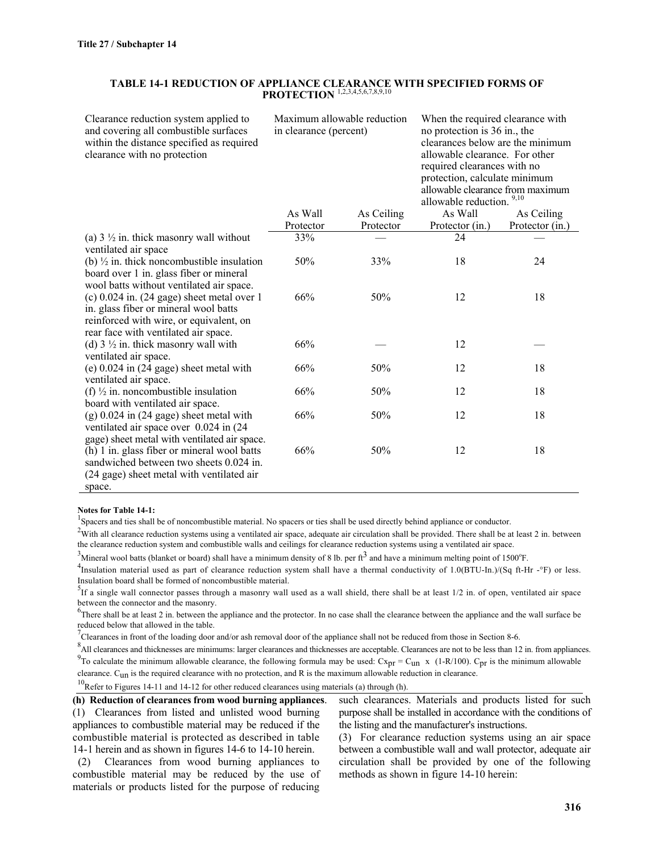#### **TABLE 14-1 REDUCTION OF APPLIANCE CLEARANCE WITH SPECIFIED FORMS OF PROTECTION** 1,2,3,4,5,6,7,8,9,10

Clearance reduction system applied to and covering all combustible surfaces within the distance specified as required clearance with no protection

Maximum allowable reduction in clearance (percent)

When the required clearance with no protection is 36 in., the clearances below are the minimum allowable clearance. For other required clearances with no protection, calculate minimum allowable clearance from maximum allowable reduction

|                                                                                                                                                                          |           |            | aliowault Teuuchull. |                 |
|--------------------------------------------------------------------------------------------------------------------------------------------------------------------------|-----------|------------|----------------------|-----------------|
|                                                                                                                                                                          | As Wall   | As Ceiling | As Wall              | As Ceiling      |
|                                                                                                                                                                          | Protector | Protector  | Protector (in.)      | Protector (in.) |
| (a) $3 \frac{1}{2}$ in. thick masonry wall without<br>ventilated air space                                                                                               | 33%       |            | 24                   |                 |
| (b) $\frac{1}{2}$ in. thick noncombustible insulation<br>board over 1 in. glass fiber or mineral<br>wool batts without ventilated air space.                             | 50%       | 33%        | 18                   | 24              |
| $(c)$ 0.024 in. (24 gage) sheet metal over 1<br>in. glass fiber or mineral wool batts<br>reinforced with wire, or equivalent, on<br>rear face with ventilated air space. | 66%       | 50%        | 12                   | 18              |
| (d) $3 \frac{1}{2}$ in. thick masonry wall with<br>ventilated air space.                                                                                                 | 66%       |            | 12                   |                 |
| (e) $0.024$ in $(24$ gage) sheet metal with<br>ventilated air space.                                                                                                     | 66%       | 50%        | 12                   | 18              |
| (f) $\frac{1}{2}$ in. noncombustible insulation<br>board with ventilated air space.                                                                                      | 66%       | 50%        | 12                   | 18              |
| $(g)$ 0.024 in (24 gage) sheet metal with<br>ventilated air space over 0.024 in (24)<br>gage) sheet metal with ventilated air space.                                     | 66%       | 50%        | 12                   | 18              |
| (h) 1 in. glass fiber or mineral wool batts<br>sandwiched between two sheets 0.024 in.<br>(24 gage) sheet metal with ventilated air<br>space.                            | 66%       | 50%        | 12                   | 18              |

**Notes for Table 14-1:**

<sup>1</sup>Spacers and ties shall be of noncombustible material. No spacers or ties shall be used directly behind appliance or conductor.

 $2\overline{V}$  with all clearance reduction systems using a ventilated air space, adequate air circulation shall be provided. There shall be at least 2 in. between the clearance reduction system and combustible walls and ceilings for clearance reduction systems using a ventilated air space.

<sup>3</sup>Mineral wool batts (blanket or board) shall have a minimum density of 8 lb. per ft<sup>3</sup> and have a minimum melting point of 1500°F.

<sup>4</sup>Insulation material used as part of clearance reduction system shall have a thermal conductivity of  $1.0(BTU-In.)/(Sq ft-Hr -°F)$  or less. Insulation board shall be formed of noncombustible material. <sup>5</sup>

 ${}^{5}$ If a single wall connector passes through a masonry wall used as a wall shield, there shall be at least 1/2 in. of open, ventilated air space between the connector and the masonry.

 $<sup>6</sup>$ There shall be at least 2 in. between the appliance and the protector. In no case shall the clearance between the appliance and the wall surface be</sup> reduced below that allowed in the table.

<sup>7</sup>Clearances in front of the loading door and/or ash removal door of the appliance shall not be reduced from those in Section 8-6.

<sup>8</sup> All clearances and thicknesses are minimums: larger clearances and thicknesses are acceptable. Clearances are not to be less than 12 in. from appliances. <sup>9</sup>To calculate the minimum allowable clearance, the following formula may be used:  $Cx_{pr} = C_{un} x$  (1-R/100).  $C_{pr}$  is the minimum allowable

clearance.  $C_{11n}$  is the required clearance with no protection, and R is the maximum allowable reduction in clearance.

<sup>10</sup>Refer to Figures 14-11 and 14-12 for other reduced clearances using materials (a) through (h).

**(h) Reduction of clearances from wood burning appliances**. (1) Clearances from listed and unlisted wood burning appliances to combustible material may be reduced if the combustible material is protected as described in table 14-1 herein and as shown in figures 14-6 to 14-10 herein.

 (2) Clearances from wood burning appliances to combustible material may be reduced by the use of materials or products listed for the purpose of reducing

such clearances. Materials and products listed for such purpose shall be installed in accordance with the conditions of the listing and the manufacturer's instructions.

(3) For clearance reduction systems using an air space between a combustible wall and wall protector, adequate air circulation shall be provided by one of the following methods as shown in figure 14-10 herein: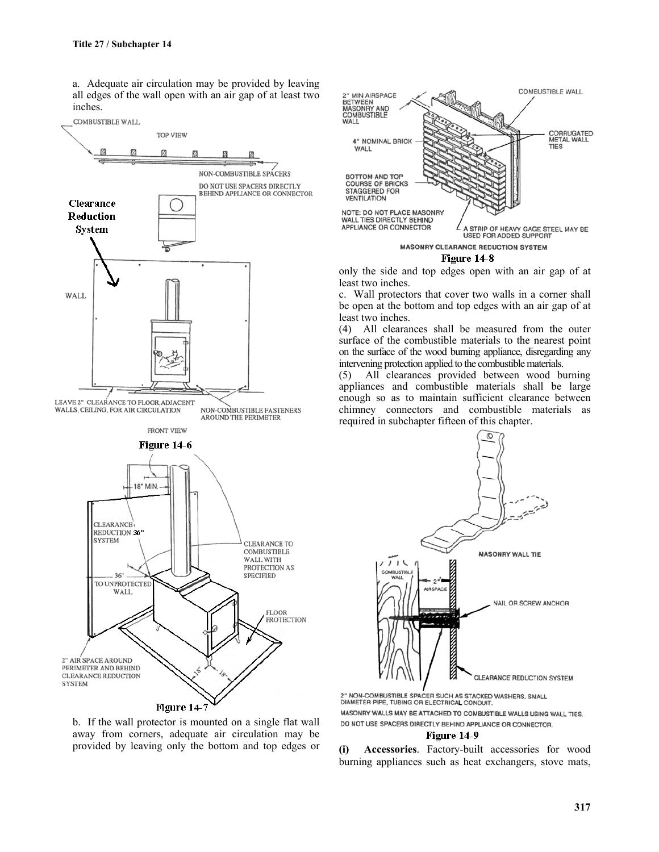a. Adequate air circulation may be provided by leaving all edges of the wall open with an air gap of at least two inches.



b. If the wall protector is mounted on a single flat wall away from corners, adequate air circulation may be provided by leaving only the bottom and top edges or



Figure 14-8

only the side and top edges open with an air gap of at least two inches.

c. Wall protectors that cover two walls in a corner shall be open at the bottom and top edges with an air gap of at least two inches.

(4) All clearances shall be measured from the outer surface of the combustible materials to the nearest point on the surface of the wood burning appliance, disregarding any intervening protection applied to the combustible materials.

(5) All clearances provided between wood burning appliances and combustible materials shall be large enough so as to maintain sufficient clearance between chimney connectors and combustible materials as required in subchapter fifteen of this chapter.



2" NON-COMBUSTIBLE SPACER SUCH AS STACKED WASHERS, SMALL<br>DIAMETER PIPE, TUBING OR ELECTRICAL CONDUIT, MASONRY WALLS MAY BE ATTACHED TO COMBUSTIBLE WALLS USING WALL TIES. DO NOT USE SPACERS DIRECTLY BEHIND APPLIANCE OR CONNECTOR.

#### Figure 14-9

**(i) Accessories**. Factory-built accessories for wood burning appliances such as heat exchangers, stove mats,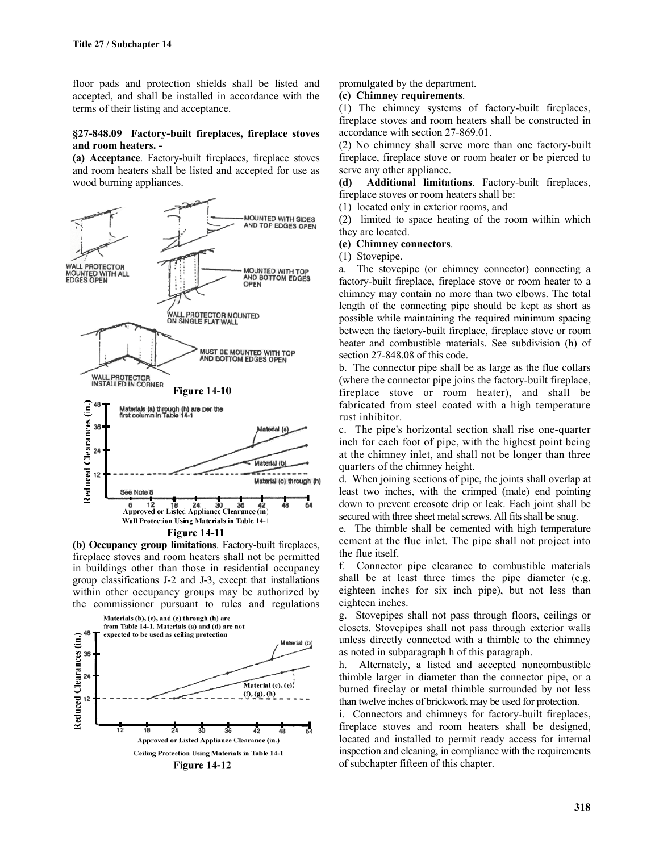floor pads and protection shields shall be listed and accepted, and shall be installed in accordance with the terms of their listing and acceptance.

### **§27-848.09 Factory-built fireplaces, fireplace stoves and room heaters. -**

**(a) Acceptance**. Factory-built fireplaces, fireplace stoves and room heaters shall be listed and accepted for use as wood burning appliances.



**(b) Occupancy group limitations**. Factory-built fireplaces, fireplace stoves and room heaters shall not be permitted in buildings other than those in residential occupancy group classifications J-2 and J-3, except that installations within other occupancy groups may be authorized by the commissioner pursuant to rules and regulations



promulgated by the department.

#### **(c) Chimney requirements**.

(1) The chimney systems of factory-built fireplaces, fireplace stoves and room heaters shall be constructed in accordance with section 27-869.01.

(2) No chimney shall serve more than one factory-built fireplace, fireplace stove or room heater or be pierced to serve any other appliance.

**(d) Additional limitations**. Factory-built fireplaces, fireplace stoves or room heaters shall be:

(1) located only in exterior rooms, and

(2) limited to space heating of the room within which they are located.

**(e) Chimney connectors**.

(1) Stovepipe.

a. The stovepipe (or chimney connector) connecting a factory-built fireplace, fireplace stove or room heater to a chimney may contain no more than two elbows. The total length of the connecting pipe should be kept as short as possible while maintaining the required minimum spacing between the factory-built fireplace, fireplace stove or room heater and combustible materials. See subdivision (h) of section 27-848.08 of this code.

b. The connector pipe shall be as large as the flue collars (where the connector pipe joins the factory-built fireplace, fireplace stove or room heater), and shall be fabricated from steel coated with a high temperature rust inhibitor.

c. The pipe's horizontal section shall rise one-quarter inch for each foot of pipe, with the highest point being at the chimney inlet, and shall not be longer than three quarters of the chimney height.

d. When joining sections of pipe, the joints shall overlap at least two inches, with the crimped (male) end pointing down to prevent creosote drip or leak. Each joint shall be secured with three sheet metal screws. All fits shall be snug.

e. The thimble shall be cemented with high temperature cement at the flue inlet. The pipe shall not project into the flue itself.

f. Connector pipe clearance to combustible materials shall be at least three times the pipe diameter (e.g. eighteen inches for six inch pipe), but not less than eighteen inches.

g. Stovepipes shall not pass through floors, ceilings or closets. Stovepipes shall not pass through exterior walls unless directly connected with a thimble to the chimney as noted in subparagraph h of this paragraph.

h. Alternately, a listed and accepted noncombustible thimble larger in diameter than the connector pipe, or a burned fireclay or metal thimble surrounded by not less than twelve inches of brickwork may be used for protection.

i. Connectors and chimneys for factory-built fireplaces, fireplace stoves and room heaters shall be designed, located and installed to permit ready access for internal inspection and cleaning, in compliance with the requirements of subchapter fifteen of this chapter.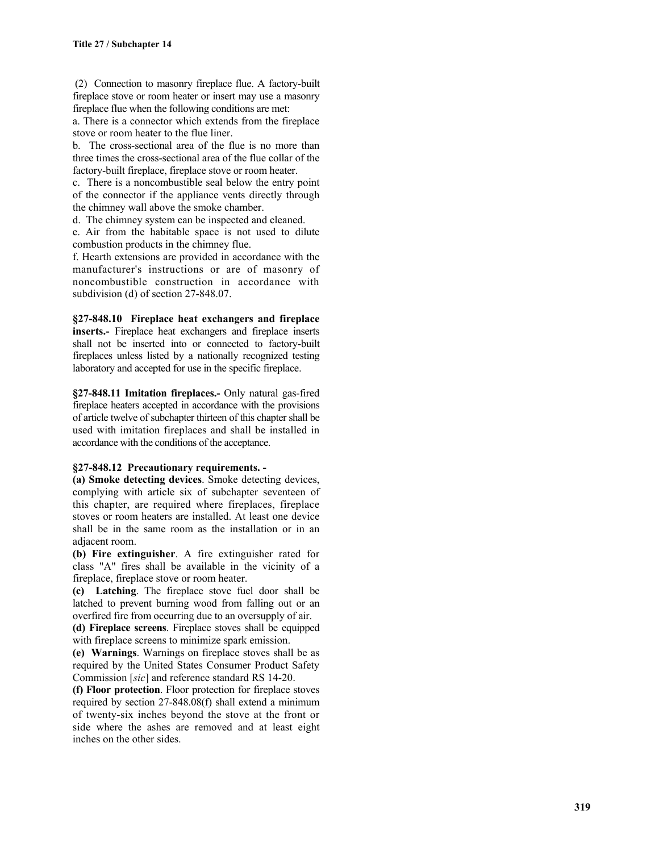(2) Connection to masonry fireplace flue. A factory-built fireplace stove or room heater or insert may use a masonry fireplace flue when the following conditions are met:

a. There is a connector which extends from the fireplace stove or room heater to the flue liner.

b. The cross-sectional area of the flue is no more than three times the cross-sectional area of the flue collar of the factory-built fireplace, fireplace stove or room heater.

c. There is a noncombustible seal below the entry point of the connector if the appliance vents directly through the chimney wall above the smoke chamber.

d. The chimney system can be inspected and cleaned.

e. Air from the habitable space is not used to dilute combustion products in the chimney flue.

f. Hearth extensions are provided in accordance with the manufacturer's instructions or are of masonry of noncombustible construction in accordance with subdivision (d) of section 27-848.07.

**§27-848.10 Fireplace heat exchangers and fireplace inserts.-** Fireplace heat exchangers and fireplace inserts shall not be inserted into or connected to factory-built fireplaces unless listed by a nationally recognized testing laboratory and accepted for use in the specific fireplace.

**§27-848.11 Imitation fireplaces.-** Only natural gas-fired fireplace heaters accepted in accordance with the provisions of article twelve of subchapter thirteen of this chapter shall be used with imitation fireplaces and shall be installed in accordance with the conditions of the acceptance.

### **§27-848.12 Precautionary requirements. -**

**(a) Smoke detecting devices**. Smoke detecting devices, complying with article six of subchapter seventeen of this chapter, are required where fireplaces, fireplace stoves or room heaters are installed. At least one device shall be in the same room as the installation or in an adjacent room.

**(b) Fire extinguisher**. A fire extinguisher rated for class "A" fires shall be available in the vicinity of a fireplace, fireplace stove or room heater.

**(c) Latching**. The fireplace stove fuel door shall be latched to prevent burning wood from falling out or an overfired fire from occurring due to an oversupply of air.

**(d) Fireplace screens**. Fireplace stoves shall be equipped with fireplace screens to minimize spark emission.

**(e) Warnings**. Warnings on fireplace stoves shall be as required by the United States Consumer Product Safety Commission [*sic*] and reference standard RS 14-20.

**(f) Floor protection**. Floor protection for fireplace stoves required by section 27-848.08(f) shall extend a minimum of twenty-six inches beyond the stove at the front or side where the ashes are removed and at least eight inches on the other sides.